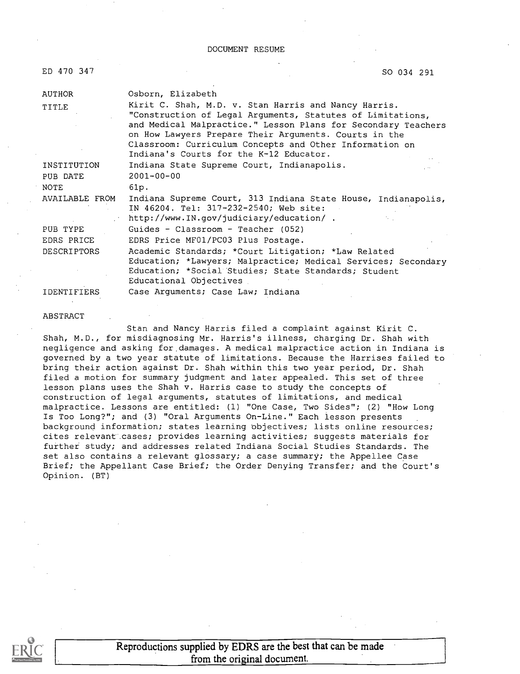#### DOCUMENT RESUME

| ED 470 347         | SO 034 291                                                                                                                                                                                                                                                                                                                                         |
|--------------------|----------------------------------------------------------------------------------------------------------------------------------------------------------------------------------------------------------------------------------------------------------------------------------------------------------------------------------------------------|
| AUTHOR             | Osborn, Elizabeth                                                                                                                                                                                                                                                                                                                                  |
| TITLE              | Kirit C. Shah, M.D. v. Stan Harris and Nancy Harris.<br>"Construction of Legal Arguments, Statutes of Limitations,<br>and Medical Malpractice." Lesson Plans for Secondary Teachers<br>on How Lawyers Prepare Their Arguments. Courts in the<br>Classroom: Curriculum Concepts and Other Information on<br>Indiana's Courts for the K-12 Educator. |
| INSTITUTION        | Indiana State Supreme Court, Indianapolis.                                                                                                                                                                                                                                                                                                         |
| PUB DATE           | $2001 - 00 - 00$                                                                                                                                                                                                                                                                                                                                   |
| NOTE               | 61p.                                                                                                                                                                                                                                                                                                                                               |
| AVAILABLE FROM     | Indiana Supreme Court, 313 Indiana State House, Indianapolis,<br>IN 46204. Tel: 317-232-2540; Web site:<br>http://www.IN.gov/judiciary/education/.                                                                                                                                                                                                 |
| PUB TYPE           | Guides - Classroom - Teacher (052)                                                                                                                                                                                                                                                                                                                 |
| <b>EDRS PRICE</b>  | EDRS Price MF01/PC03 Plus Postage.                                                                                                                                                                                                                                                                                                                 |
| <b>DESCRIPTORS</b> | Academic Standards; *Court Litigation; *Law Related<br>Education; *Lawyers; Malpractice; Medical Services; Secondary<br>Education; *Social Studies; State Standards; Student<br>Educational Objectives                                                                                                                                             |
| <b>IDENTIFIERS</b> | Case Arguments; Case Law; Indiana                                                                                                                                                                                                                                                                                                                  |

#### ABSTRACT

Stan and Nancy Harris filed a complaint against Kirit C. Shah, M.D., for misdiagnosing Mr. Harris's illness, charging Dr. Shah with negligence and asking for, damages. A medical malpractice action in Indiana is governed by a two year statute of limitations. Because the Harrises failed to bring their action against Dr. Shah within this two year period, Dr. Shah filed a motion for summary judgment and later appealed. This set of three lesson plans uses the Shah v. Harris case to study the concepts of construction of legal arguments, statutes of limitations, and medical malpractice. Lessons are entitled: (1) "One Case, Two Sides"; (2) "How Long Is Too Long?"; and (3) "Oral Arguments On-Line." Each lesson presents background information; states learning objectives; lists online resources; cites relevant cases; provides learning activities; suggests materials for further study; and addresses related Indiana Social Studies Standards. The set also contains a relevant glossary; a case summary; the Appellee Case Brief; the Appellant Case Brief; the Order Denying Transfer; and the Court's Opinion. (BT)



Reproductions supplied by EDRS are the best that can be made from the original document.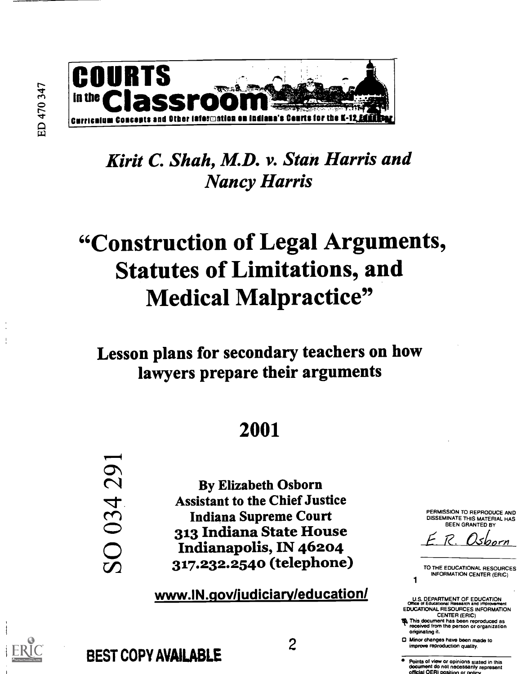

# Kirit C. Shah, M.D. v. Stan Harris and Nancy Harris

# "Construction of Legal Arguments, Statutes of Limitations, and Medical Malpractice"

# Lesson plans for secondary teachers on how lawyers prepare their arguments

# 2001

By Elizabeth Osborn Assistant to the Chief Justice Indiana Supreme Court 313 Indiana State House Indianapolis, IN 46204 317.232.2540 (telephone)

www.IN.gov/judiciary/education/

2

BEST COPY AVAILABLE

SO 034 291

PERMISSION TO REPRODUCE AND DISSEMINATE THIS MATERIAL HAS BEEN GRANTED BY

<u>Usborn</u>

TO THE EDUCATIONAL RESOURCES INFORMATION CENTER (ERIC)

1<br>U.S. DEPARTMENT OF EDUCATION<br>Office of Educational Research and Improvement EDUCATIONAL RESOURCES INFORMATION

CENTER (ERIC)<br>**The This document has been reproduced as<br>received from the person or organization** originating it.

O Minor changes have been made to improve reproduction quality.

Points of view or opinions stated in this document do not necessarily represent official OERI position or pol

ED 470 347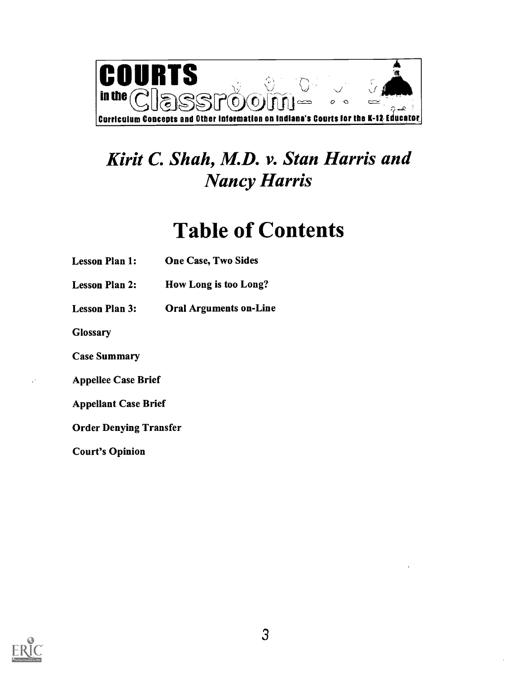

# Kirit C. Shah, M.D. v. Stan Harris and Nancy Harris

# Table of Contents

- Lesson Plan 1: One Case, Two Sides
- Lesson Plan 2: How Long is too Long?
- Lesson Plan 3: Oral Arguments on-Line

**Glossary** 

Case Summary

Appellee Case Brief

Appellant Case Brief

Order Denying Transfer

Court's Opinion

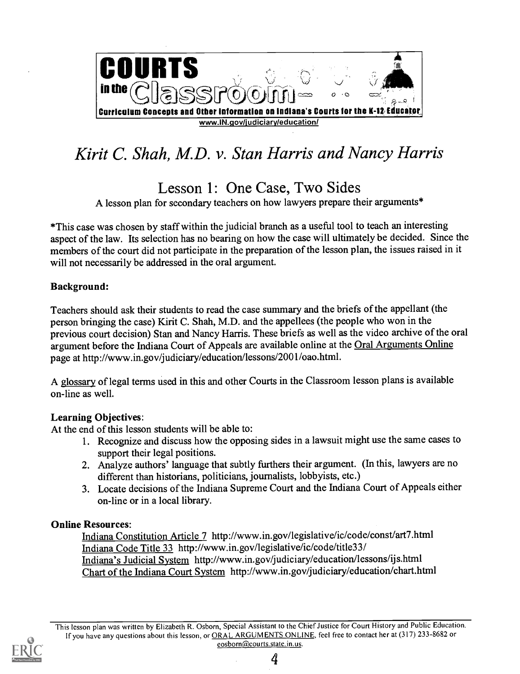

# Kirit C. Shah, M.D. v. Stan Harris and Nancy Harris

Lesson 1: One Case, Two Sides

A lesson plan for secondary teachers on how lawyers prepare their arguments\*

\*This case was chosen by staff within the judicial branch as a useful tool to teach an interesting aspect of the law. Its selection has no bearing on how the case will ultimately be decided. Since the members of the court did not participate in the preparation of the lesson plan, the issues raised in it will not necessarily be addressed in the oral argument.

### Background:

Teachers should ask their students to read the case summary and the briefs of the appellant (the person bringing the case) Kirit C. Shah, M.D. and the appellees (the people who won in the previous court decision) Stan and Nancy Harris. These briefs as well as the video archive of the oral argument before the Indiana Court of Appeals are available online at the Oral Arguments Online page at http://www.in.gov/judiciary/education/lessons/2001/oao.html.

A glossary of legal terms used in this and other Courts in the Classroom lesson plans is available on-line as well.

### Learning Objectives:

At the end of this lesson students will be able to:

- 1. Recognize and discuss how the opposing sides in a lawsuit might use the same cases to support their legal positions.
- 2. Analyze authors' language that subtly furthers their argument. (In this, lawyers are no different than historians, politicians, journalists, lobbyists, etc.)
- 3. Locate decisions of the Indiana Supreme Court and the Indiana Court of Appeals either on-line or in a local library.

### Online Resources:

Indiana Constitution Article 7 http://wwvv.in.gov/legislative/ic/code/const/art7.html Indiana Code Title 33 http://www.in.gov/legislative/ic/code/title33/ Indiana's Judicial System http://www.in.gov/judiciary/education/lessons/ijs.html Chart of the Indiana Court System http://www.in.gov/judiciary/education/chart.html

This lesson plan was written by Elizabeth R. Osborn, Special Assistant to the Chief Justice for Court History and Public Education. If you have any questions about this lesson, or ORAL ARGUMENTS ONLINE, feel free to contact her at (317) 233-8682 or eosborn@courts.state.in.us.

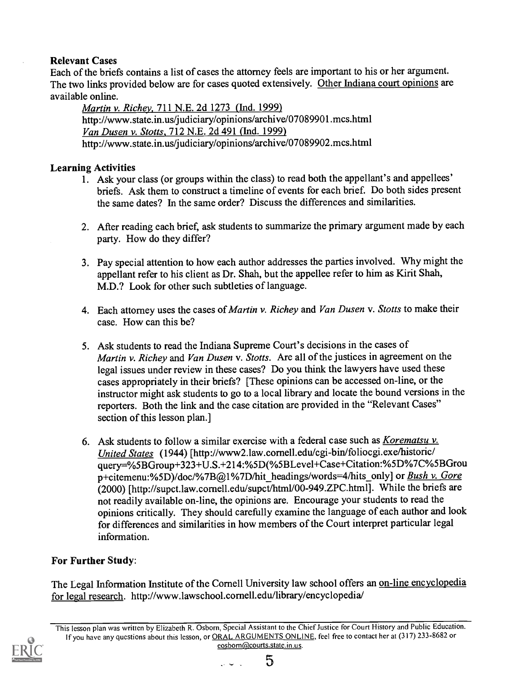# Relevant Cases

Each of the briefs contains a list of cases the attorney feels are important to his or her argument. The two links provided below are for cases quoted extensively. Other Indiana court opinions are available online.

Martin v. Richey, 711 N.E. 2d 1273 (Ind. 1999) http://www.state.in.us/judiciary/opinions/archive/07089901.mcs.html Van Dusen v. Stotts, 712 N.E. 2d 491 (Ind. 1999) http://www.state.in.us/judiciary/opinions/archive/07089902.mcs.html

# Learning Activities

- 1. Ask your class (or groups within the class) to read both the appellant's and appellees' briefs. Ask them to construct a timeline of events for each brief. Do both sides present the same dates? In the same order? Discuss the differences and similarities.
- 2. After reading each brief, ask students to summarize the primary argument made by each party. How do they differ?
- 3. Pay special attention to how each author addresses the parties involved. Why might the appellant refer to his client as Dr. Shah, but the appellee refer to him as Kirit Shah, M.D.? Look for other such subtleties of language.
- 4. Each attorney uses the cases of Martin v. Richey and Van Dusen v. Stotts to make their case. How can this be?
- 5. Ask students to read the Indiana Supreme Court's decisions in the cases of Martin v. Richey and Van Dusen v. Stotts. Are all of the justices in agreement on the legal issues under review in these cases? Do you think the lawyers have used these cases appropriately in their briefs? [These opinions can be accessed on-line, or the instructor might ask students to go to a local library and locate the bound versions in the reporters. Both the link and the case citation are provided in the "Relevant Cases" section of this lesson plan.]
- 6. Ask students to follow a similar exercise with a federal case such as Korematsu  $v$ . United States (1944) [http://www2.law.cornell.edu/cgi-bin/foliocgi.exe/historic/ query=%5BGroup+323+U.S.+214:%5D(%5BLevel+Case+Citation:%5D%7C%5BGrou p+citemenu:%5D)/doc/%7B@1%7D/hit\_headings/words=4/hits\_only] or Bush v. Gore (2000) [http://supct.law.cornell.edu/supct/htm1/00-949.ZPC.html]. While the briefs are not readily available on-line, the opinions are. Encourage your students to read the opinions critically. They should carefully examine the language of each author and look for differences and similarities in how members of the Court interpret particular legal information.

# For Further Study:

The Legal Information Institute of the Cornell University law school offers an on-line encyclopedia for legal research. http://www.lawschool.cornell.edu/library/encyclopedia/

This lesson plan was written by Elizabeth R. Osborn, Special Assistant to the Chief Justice for Court History and Public Education. If you have any questions about this lesson, or ORAL ARGUMENTS ONLINE, feel free to contact her at (317) 233-8682 or eosborn@courts.state.in.us.



5ل ب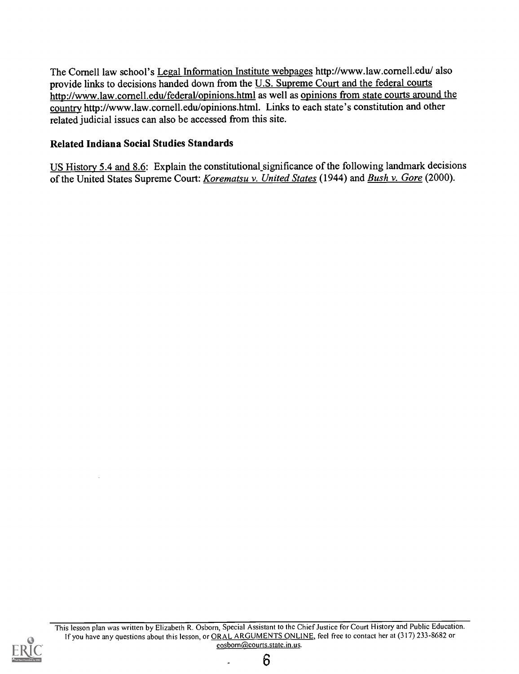The Cornell law school's Legal Information Institute webpages http://www.law.cornell.edu/ also provide links to decisions handed down from the U.S. Supreme Court and the federal courts http://www.law.cornell.edu/federal/opinions.html as well as opinions from state courts around the country http://www.law.cornell.edu/opinions.html. Links to each state's constitution and other related judicial issues can also be accessed from this site.

# Related Indiana Social Studies Standards

US History 5.4 and 8.6: Explain the constitutional significance of the following landmark decisions of the United States Supreme Court: Korematsu v. United States (1944) and Bush v. Gore (2000).



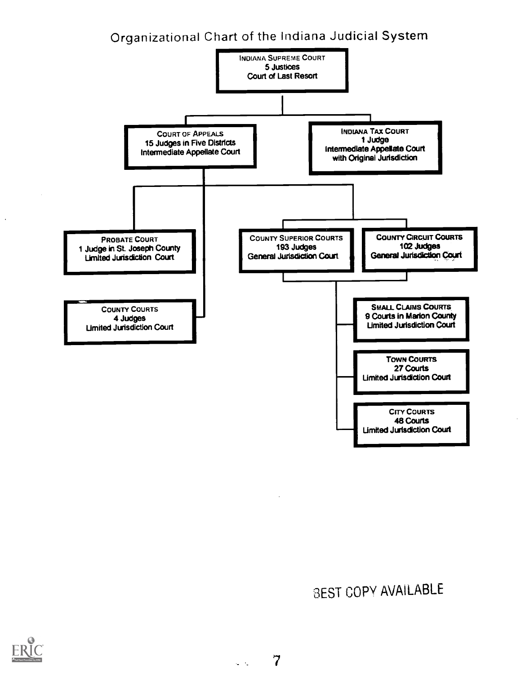# Organizational Chart of the Indiana Judicial System



# 3EST COPY AVAILABLE

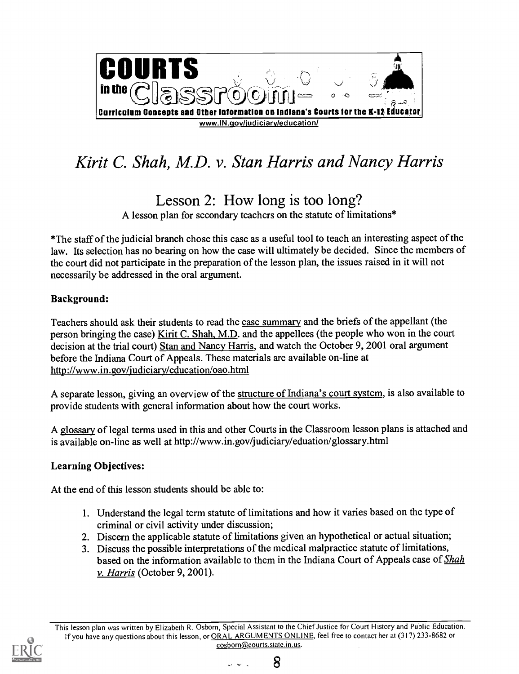

# Kirit C. Shah, M.D. v. Stan Harris and Nancy Harris

Lesson 2: How long is too long?

A lesson plan for secondary teachers on the statute of limitations\*

\*The staff of the judicial branch chose this case as a useful tool to teach an interesting aspect of the law. Its selection has no bearing on how the case will ultimately be decided. Since the members of the court did not participate in the preparation of the lesson plan, the issues raised in it will not necessarily be addressed in the oral argument.

# Background:

Teachers should ask their students to read the case summary and the briefs of the appellant (the person bringing the case) Kirit C. Shah, M.D. and the appellees (the people who won in the court decision at the trial court) Stan and Nancy Harris, and watch the October 9, 2001 oral argument before the Indiana Court of Appeals. These materials are available on-line at http://www.in.gov/judiciary/education/oao.html

A separate lesson, giving an overview of the structure of Indiana's court system, is also available to provide students with general information about how the court works.

A glossary of legal terms used in this and other Courts in the Classroom lesson plans is attached and is available on-line as well at http://www.in.gov/judiciary/eduation/glossary.html

# Learning Objectives:

At the end of this lesson students should be able to:

- 1. Understand the legal term statute of limitations and how it varies based on the type of criminal or civil activity under discussion;
- 2. Discern the applicable statute of limitations given an hypothetical or actual situation;
- 3. Discuss the possible interpretations of the medical malpractice statute of limitations, based on the information available to them in the Indiana Court of Appeals case of Shah v. Harris (October 9, 2001).



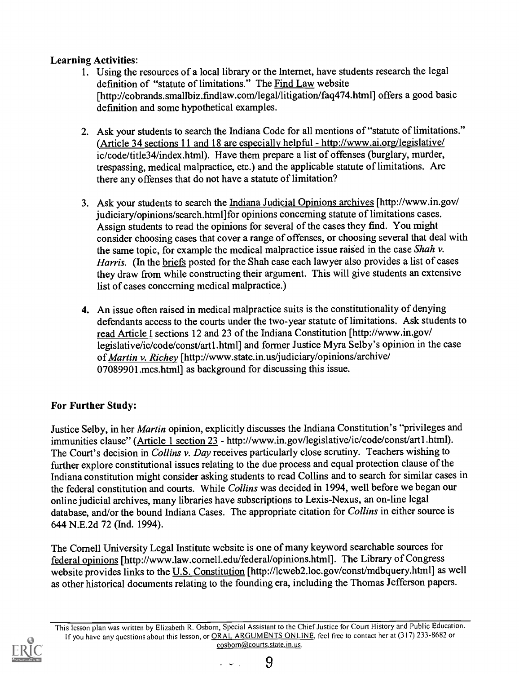# Learning Activities:

- 1. Using the resources of a local library or the Internet, have students research the legal definition of "statute of limitations." The Find Law website [http://cobrands.smallbiz.findlaw.com/legal/litigation/faq474.html] offers a good basic definition and some hypothetical examples.
- 2. Ask your students to search the Indiana Code for all mentions of "statute of limitations." (Article 34 sections 11 and 18 are especially helpful - http://www.ai.org/legislative/ ic/code/title34/index.html). Have them prepare a list of offenses (burglary, murder, trespassing, medical malpractice, etc.) and the applicable statute of limitations. Are there any offenses that do not have a statute of limitation?
- 3. Ask your students to search the Indiana Judicial Opinions archives [http://www.in.gov/ judiciary/opinions/search.html]for opinions concerning statute of limitations cases. Assign students to read the opinions for several of the cases they find. You might consider choosing cases that cover a range of offenses, or choosing several that deal with the same topic, for example the medical malpractice issue raised in the case Shah  $v$ . Harris. (In the briefs posted for the Shah case each lawyer also provides a list of cases they draw from while constructing their argument. This will give students an extensive list of cases concerning medical malpractice.)
- 4. An issue often raised in medical malpractice suits is the constitutionality of denying defendants access to the courts under the two-year statute of limitations. Ask students to read Article I sections 12 and 23 of the Indiana Constitution [http://www.in.gov/ legislative/ic/code/const/artl.html] and former Justice Myra Selby's opinion in the case of Martin v. Richey [http://www.state.in.us/judiciary/opinions/archive/ 07089901.mcs.html] as background for discussing this issue.

# For Further Study:

Justice Selby, in her Martin opinion, explicitly discusses the Indiana Constitution's "privileges and immunities clause" (Article 1 section 23 - http://www.in.gov/legislative/ic/code/const/artl.html). The Court's decision in Collins v. Day receives particularly close scrutiny. Teachers wishing to further explore constitutional issues relating to the due process and equal protection clause of the Indiana constitution might consider asking students to read Collins and to search for similar cases in the federal constitution and courts. While Collins was decided in 1994, well before we began our online judicial archives, many libraries have subscriptions to Lexis-Nexus, an on-line legal database, and/or the bound Indiana Cases. The appropriate citation for Collins in either source is 644 N.E.2d 72 (Ind. 1994).

The Cornell University Legal Institute website is one of many keyword searchable sources for federal opinions [http://www.law.cornell.edu/federal/opinions.html]. The Library of Congress website provides links to the U.S. Constitution [http://lcweb2.loc.gov/const/mdbquery.html] as well as other historical documents relating to the founding era, including the Thomas Jefferson papers.

This lesson plan was written by Elizabeth R. Osborn, Special Assistant to the Chief Justice for Court History and Public Education. If you have any questions about this lesson, or ORAL ARGUMENTS ONLINE, feel free to contact her at (317) 233-8682 or eosborn@courts.state.in.us.



 $\mathbb{Z}^2$  and  $\mathbb{Z}^2$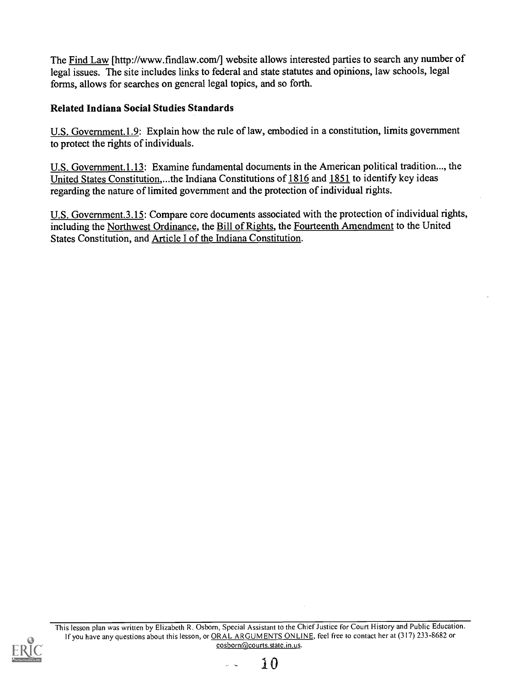The Find Law [http://www.findlaw.com/] website allows interested parties to search any number of legal issues. The site includes links to federal and state statutes and opinions, law schools, legal forms, allows for searches on general legal topics, and so forth.

# Related Indiana Social Studies Standards

U.S. Government.1.9: Explain how the rule of law, embodied in a constitution, limits government to protect the rights of individuals.

U.S. Government.1.13: Examine fundamental documents in the American political tradition..., the United States Constitution,...the Indiana Constitutions of 1816 and 1851 to identify key ideas regarding the nature of limited government and the protection of individual rights.

U.S. Government.3.15: Compare core documents associated with the protection of individual rights, including the Northwest Ordinance, the Bill of Rights, the Fourteenth Amendment to the United States Constitution, and Article I of the Indiana Constitution.

This lesson plan was written by Elizabeth R. Osborn, Special Assistant to the Chief Justice for Court History and Public Education. If you have any questions about this lesson, or ORAL ARGUMENTS ONLINE, feel free to contact her at (317) 233-8682 or eosborn@courts.state.in.us.



 $\mathbb{R}^2$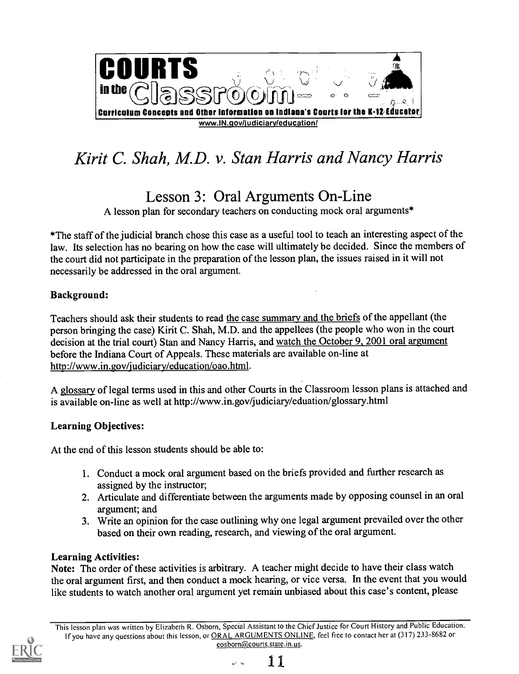

# Kirit C. Shah, M.D. v. Stan Harris and Nancy Harris

# Lesson 3: Oral Arguments On-Line

A lesson plan for secondary teachers on conducting mock oral arguments\*

\*The staff of the judicial branch chose this case as a useful tool to teach an interesting aspect of the law. Its selection has no bearing on how the case will ultimately be decided. Since the members of the court did not participate in the preparation of the lesson plan, the issues raised in it will not necessarily be addressed in the oral argument.

# Background:

Teachers should ask their students to read the case summary and the briefs of the appellant (the person bringing the case) Kirit C. Shah, M.D. and the appellees (the people who won in the court decision at the trial court) Stan and Nancy Harris, and watch the October 9, 2001 oral argument before the Indiana Court of Appeals. These materials are available on-line at http://www.in.gov/judiciary/education/oao.html.

A glossary of legal terms used in this and other Courts in the Classroom lesson plans is attached and is available on-line as well at http://www.in.gov/judiciary/eduation/glossary.html

# Learning Objectives:

At the end of this lesson students should be able to:

- 1. Conduct a mock oral argument based on the briefs provided and further research as assigned by the instructor;
- 2. Articulate and differentiate between the arguments made by opposing counsel in an oral argument; and
- 3. Write an opinion for the case outlining why one legal argument prevailed over the other based on their own reading, research, and viewing of the oral argument.

# Learning Activities:

Note: The order of these activities is arbitrary. A teacher might decide to have their class watch the oral argument first, and then conduct a mock hearing, or vice versa. In the event that you would like students to watch another oral argument yet remain unbiased about this case's content, please

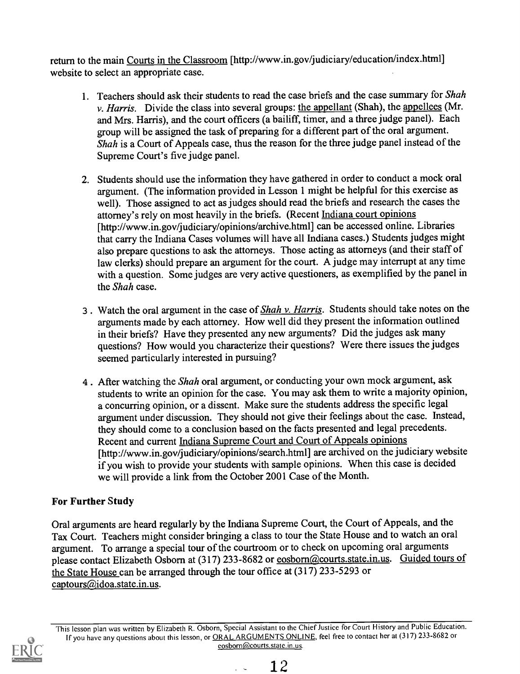return to the main Courts in the Classroom [http://www.in.gov/judiciary/education/index.html] website to select an appropriate case.

- 1. Teachers should ask their students to read the case briefs and the case summary for Shah  $\nu$ . *Harris.* Divide the class into several groups: the appellant (Shah), the appellees (Mr. and Mrs. Harris), and the court officers (a bailiff, timer, and a three judge panel). Each group will be assigned the task of preparing for a different part of the oral argument. Shah is a Court of Appeals case, thus the reason for the three judge panel instead of the Supreme Court's five judge panel.
- 2. Students should use the information they have gathered in order to conduct a mock oral argument. (The information provided in Lesson 1 might be helpful for this exercise as well). Those assigned to act as judges should read the briefs and research the cases the attorney's rely on most heavily in the briefs. (Recent Indiana court opinions [http://www.in.gov/judiciary/opinions/archive.html] can be accessed online. Libraries that carry the Indiana Cases volumes will have all Indiana cases.) Students judges might also prepare questions to ask the attorneys. Those acting as attorneys (and their staff of law clerks) should prepare an argument for the court. A judge may interrupt at any time with a question. Some judges are very active questioners, as exemplified by the panel in the Shah case.
- 3. Watch the oral argument in the case of **Shah v. Harris.** Students should take notes on the arguments made by each attorney. How well did they present the information outlined in their briefs? Have they presented any new arguments? Did the judges ask many questions? How would you characterize their questions? Were there issues the judges seemed particularly interested in pursuing?
- 4. After watching the *Shah* oral argument, or conducting your own mock argument, ask students to write an opinion for the case. You may ask them to write a majority opinion, a concurring opinion, or a dissent. Make sure the students address the specific legal argument under discussion. They should not give their feelings about the case. Instead, they should come to a conclusion based on the facts presented and legal precedents. Recent and current Indiana Supreme Court and Court of Appeals opinions [http://www.in.gov/judiciary/opinions/search.html] are archived on the judiciary website if you wish to provide your students with sample opinions. When this case is decided we will provide a link from the October 2001 Case of the Month.

# For Further Study

Oral arguments are heard regularly by the Indiana Supreme Court, the Court of Appeals, and the Tax Court. Teachers might consider bringing a class to tour the State House and to watch an oral argument. To arrange a special tour of the courtroom or to check on upcoming oral arguments please contact Elizabeth Osborn at (317) 233-8682 or eosborn@courts.state.in.us. Guided tours of the State House can be arranged through the tour office at  $(317)$  233-5293 or captours@idoa.state.in.us.



This lesson plan was written by Elizabeth R. Osborn, Special Assistant to the Chief Justice for Court History and PublicEducation. If you have any questions about this lesson, or ORAL ARGUMENTS ONLINE, feel free to contact her at (317) 233-8682 or eosborn@courts.state.in.us.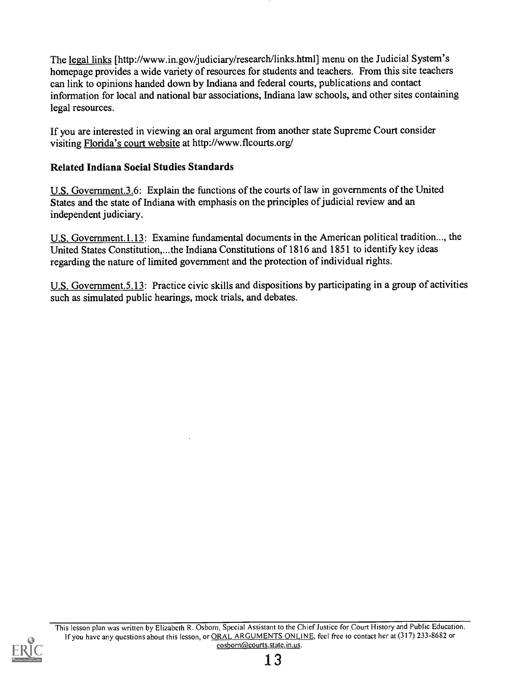The legal links [http://www.in.gov/judiciary/research/links.html] menu on the Judicial System's homepage provides a wide variety of resources for students and teachers. From this site teachers can link to opinions handed down by Indiana and federal courts, publications and contact information for local and national bar associations, Indiana law schools, and other sites containing legal resources.

If you are interested in viewing an oral argument from another state Supreme Court consider visiting Florida's court website at http://www.flcourts.org/

# Related Indiana Social Studies Standards

U.S. Government.3.6: Explain the functions of the courts of law in governments of the United States and the state of Indiana with emphasis on the principles of judicial review and an independent judiciary.

U.S. Government.1.13: Examine fundamental documents in the American political tradition..., the United States Constitution,...the Indiana Constitutions of 1816 and 1851 to identify key ideas regarding the nature of limited government and the protection of individual rights.

U.S. Government.5.13: Practice civic skills and dispositions by participating in a group of activities such as simulated public hearings, mock trials, and debates.

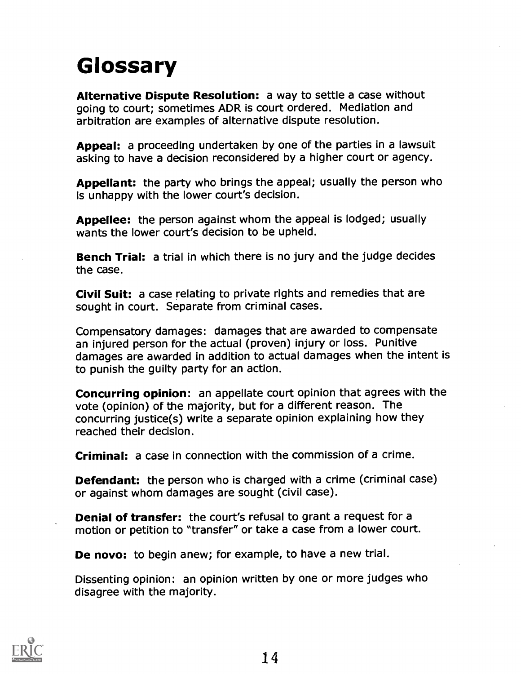# Glossary

Alternative Dispute Resolution: a way to settle a case without going to court; sometimes ADR is court ordered. Mediation and arbitration are examples of alternative dispute resolution.

Appeal: a proceeding undertaken by one of the parties in a lawsuit asking to have a decision reconsidered by a higher court or agency.

Appellant: the party who brings the appeal; usually the person who is unhappy with the lower court's decision.

Appellee: the person against whom the appeal is lodged; usually wants the lower court's decision to be upheld.

Bench Trial: a trial in which there is no jury and the judge decides the case.

Civil Suit: a case relating to private rights and remedies that are sought in court. Separate from criminal cases.

Compensatory damages: damages that are awarded to compensate an injured person for the actual (proven) injury or loss. Punitive damages are awarded in addition to actual damages when the intent is to punish the guilty party for an action.

Concurring opinion: an appellate court opinion that agrees with the vote (opinion) of the majority, but for a different reason. The concurring justice(s) write a separate opinion explaining how they reached their decision.

Criminal: a case in connection with the commission of a crime.

**Defendant:** the person who is charged with a crime (criminal case) or against whom damages are sought (civil case).

Denial of transfer: the court's refusal to grant a request for a motion or petition to "transfer" or take a case from a lower court.

De novo: to begin anew; for example, to have a new trial.

Dissenting opinion: an opinion written by one or more judges who disagree with the majority.

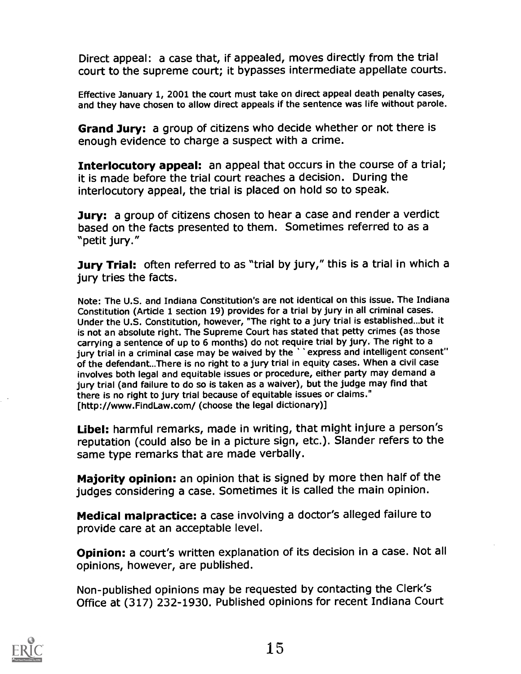Direct appeal: a case that, if appealed, moves directly from the trial court to the supreme court; it bypasses intermediate appellate courts.

Effective January 1, 2001 the court must take on direct appeal death penalty cases, and they have chosen to allow direct appeals if the sentence was life without parole.

Grand Jury: a group of citizens who decide whether or not there is enough evidence to charge a suspect with a crime.

Interlocutory appeal: an appeal that occurs in the course of a trial; it is made before the trial court reaches a decision. During the interlocutory appeal, the trial is placed on hold so to speak.

**Jury:** a group of citizens chosen to hear a case and render a verdict based on the facts presented to them. Sometimes referred to as a "petit jury."

Jury Trial: often referred to as "trial by jury," this is a trial in which a jury tries the facts.

Note: The U.S. and Indiana Constitution's are not identical on this issue. The Indiana Constitution (Article 1 section 19) provides for a trial by jury in all criminal cases. Under the U.S. Constitution, however, "The right to a jury trial is established...but it is not an absolute right. The Supreme Court has stated that petty crimes (as those carrying a sentence of up to 6 months) do not require trial by jury. The right to a jury trial in a criminal case may be waived by the ' 'express and intelligent consent" of the defendant...There is no right to a jury trial in equity cases. When a civil case involves both legal and equitable issues or procedure, either party may demand a jury trial (and failure to do so is taken as a waiver), but the judge may find that there is no right to jury trial because of equitable issues or claims." [http://www.FindLaw.com/ (choose the legal dictionary)]

Libel: harmful remarks, made in writing, that might injure a person's reputation (could also be in a picture sign, etc.). Slander refers to the same type remarks that are made verbally.

Majority opinion: an opinion that is signed by more then half of the judges considering a case. Sometimes it is called the main opinion.

Medical malpractice: a case involving a doctor's alleged failure to provide care at an acceptable level.

Opinion: a court's written explanation of its decision in a case. Not all opinions, however, are published.

Non-published opinions may be requested by contacting the Clerk's Office at (317) 232-1930. Published opinions for recent Indiana Court

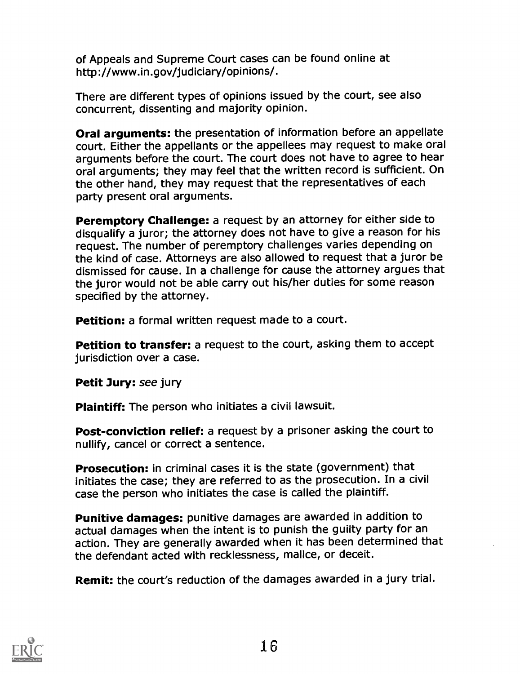of Appeals and Supreme Court cases can be found online at http://www.in.gov/judiciary/opinions/.

There are different types of opinions issued by the court, see also concurrent, dissenting and majority opinion.

Oral arguments: the presentation of information before an appellate court. Either the appellants or the appellees may request to make oral arguments before the court. The court does not have to agree to hear oral arguments; they may feel that the written record is sufficient. On the other hand, they may request that the representatives of each party present oral arguments.

Peremptory Challenge: a request by an attorney for either side to disqualify a juror; the attorney does not have to give a reason for his request. The number of peremptory challenges varies depending on the kind of case. Attorneys are also allowed to request that a juror be dismissed for cause. In a challenge for cause the attorney argues that the juror would not be able carry out his/her duties for some reason specified by the attorney.

Petition: a formal written request made to a court.

Petition to transfer: a request to the court, asking them to accept jurisdiction over a case.

Petit Jury: see jury

Plaintiff: The person who initiates a civil lawsuit.

Post-conviction relief: a request by a prisoner asking the court to nullify, cancel or correct a sentence.

Prosecution: in criminal cases it is the state (government) that initiates the case; they are referred to as the prosecution. In a civil case the person who initiates the case is called the plaintiff.

Punitive damages: punitive damages are awarded in addition to actual damages when the intent is to punish the guilty party for an action. They are generally awarded when it has been determined that the defendant acted with recklessness, malice, or deceit.

Remit: the court's reduction of the damages awarded in a jury trial.

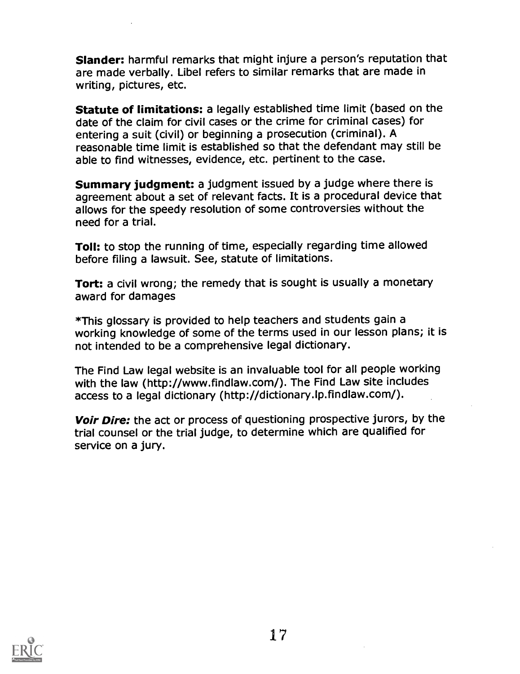Slander: harmful remarks that might injure a person's reputation that are made verbally. Libel refers to similar remarks that are made in writing, pictures, etc.

Statute of limitations: a legally established time limit (based on the date of the claim for civil cases or the crime for criminal cases) for entering a suit (civil) or beginning a prosecution (criminal). A reasonable time limit is established so that the defendant may still be able to find witnesses, evidence, etc. pertinent to the case.

Summary judgment: a judgment issued by a judge where there is agreement about a set of relevant facts. It is a procedural device that allows for the speedy resolution of some controversies without the need for a trial.

Toll: to stop the running of time, especially regarding time allowed before filing a lawsuit. See, statute of limitations.

Tort: a civil wrong; the remedy that is sought is usually a monetary award for damages

\*This glossary is provided to help teachers and students gain a working knowledge of some of the terms used in our lesson plans; it is not intended to be a comprehensive legal dictionary.

The Find Law legal website is an invaluable tool for all people working with the law (http://www.findlaw.com/). The Find Law site includes access to a legal dictionary (http://dictionary.lp.findlaw.com/).

Voir Dire: the act or process of questioning prospective jurors, by the trial counsel or the trial judge, to determine which are qualified for service on a jury.

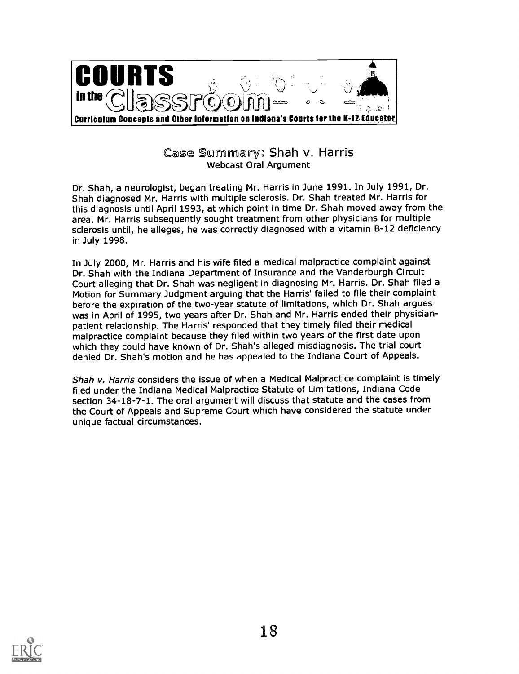

Case Summary: Shah v. Harris Webcast Oral Argument

Dr. Shah, a neurologist, began treating Mr. Harris in June 1991. In July 1991, Dr. Shah diagnosed Mr. Harris with multiple sclerosis. Dr. Shah treated Mr. Harris for this diagnosis until April 1993, at which point in time Dr. Shah moved away from the area. Mr. Harris subsequently sought treatment from other physicians for multiple sclerosis until, he alleges, he was correctly diagnosed with a vitamin B-12 deficiency in July 1998.

In July 2000, Mr. Harris and his wife filed a medical malpractice complaint against Dr. Shah with the Indiana Department of Insurance and the Vanderburgh Circuit Court alleging that Dr. Shah was negligent in diagnosing Mr. Harris. Dr. Shah filed a Motion for Summary Judgment arguing that the Harris' failed to file their complaint before the expiration of the two-year statute of limitations, which Dr. Shah argues was in April of 1995, two years after Dr. Shah and Mr. Harris ended their physicianpatient relationship. The Harris' responded that they timely filed their medical malpractice complaint because they filed within two years of the first date upon which they could have known of Dr. Shah's alleged misdiagnosis. The trial court denied Dr. Shah's motion and he has appealed to the Indiana Court of Appeals.

Shah v. Harris considers the issue of when a Medical Malpractice complaint is timely filed under the Indiana Medical Malpractice Statute of Limitations, Indiana Code section 34-18-7-1. The oral argument will discuss that statute and the cases from the Court of Appeals and Supreme Court which have considered the statute under unique factual circumstances.

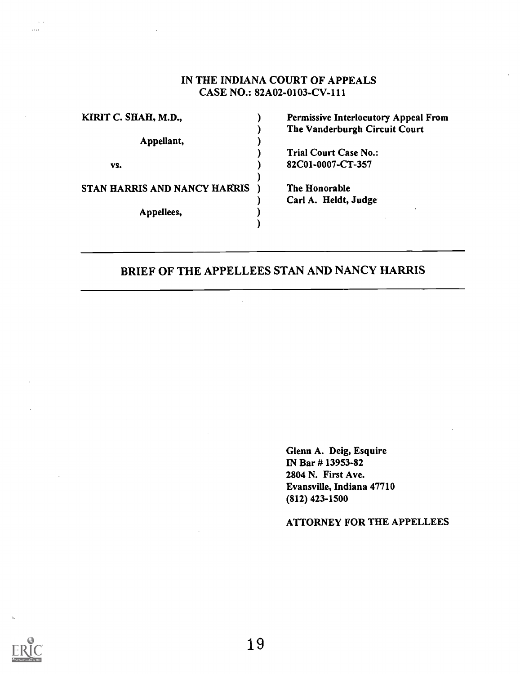# IN THE INDIANA COURT OF APPEALS CASE NO.: 82A02-0103-CV-111

| KIRIT C. SHAH, M.D.,         |  | <b>Permissive Interlocutory Appeal From</b> |
|------------------------------|--|---------------------------------------------|
|                              |  | The Vanderburgh Circuit Court               |
| Appellant,                   |  |                                             |
|                              |  | <b>Trial Court Case No.:</b>                |
| VS.                          |  | 82C01-0007-CT-357                           |
| STAN HARRIS AND NANCY HARRIS |  | The Honorable                               |
|                              |  | Carl A. Heldt, Judge                        |
| Appellees,                   |  |                                             |
|                              |  |                                             |

# BRIEF OF THE APPELLEES STAN AND NANCY HARRIS

Glenn A. Deig, Esquire IN Bar # 13953-82 2804 N. First Ave. Evansville, Indiana 47710 (812) 423-1500

#### ATTORNEY FOR THE APPELLEES

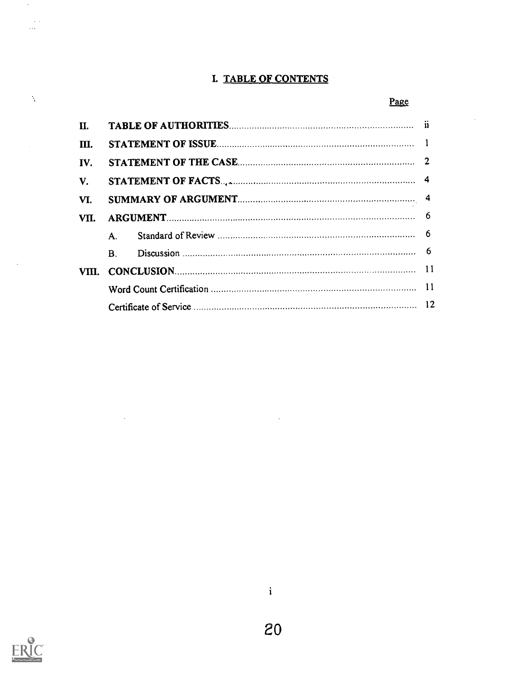# I. TABLE OF CONTENTS

# Page

| Π.    |            |  |  |
|-------|------------|--|--|
| III.  |            |  |  |
| IV.   |            |  |  |
| V.    |            |  |  |
| VI.   |            |  |  |
| VII.  |            |  |  |
|       | A.         |  |  |
|       | $\bf{B}$ . |  |  |
| VIII. |            |  |  |
|       |            |  |  |
|       |            |  |  |



 $\ddot{\phantom{a}}$ 

 $\boldsymbol{\beta}$ 

 $\sim$   $\sim$  $\ldots$ 

 $\lambda$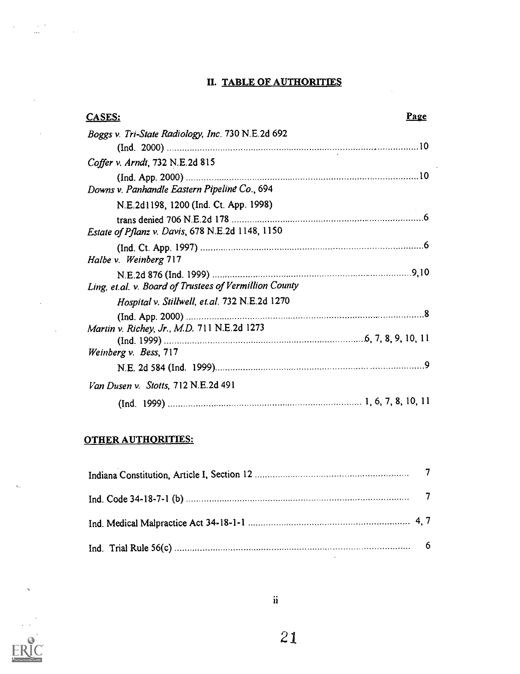# II. TABLE OF AUTHORITIES

| CASES:                                                 | Page |
|--------------------------------------------------------|------|
| Boggs v. Tri-State Radiology, Inc. 730 N.E.2d 692      |      |
|                                                        |      |
| Coffer v. Arndt, 732 N.E.2d 815                        |      |
| Downs v. Panhandle Eastern Pipeline Co., 694           |      |
| N.E.2d1198, 1200 (Ind. Ct. App. 1998)                  |      |
| Estate of Pflanz v. Davis, 678 N.E.2d 1148, 1150       |      |
| Halbe v. Weinberg 717                                  |      |
| Ling, et.al. v. Board of Trustees of Vermillion County |      |
| Hospital v. Stillwell, et.al. 732 N.E.2d 1270          |      |
|                                                        |      |
| Martin v. Richey, Jr., M.D. 711 N.E.2d 1273            |      |
| Weinberg v. Bess, 717                                  |      |
|                                                        |      |
| Van Dusen v. Stotts, 712 N.E.2d 491                    |      |
|                                                        |      |

# OTHER AUTHORITIES:

 $\ddot{\phantom{a}}$ 

 $\bar{z}$ 

 $\ddot{\phantom{a}}$ 



 $\mathbf{r}_i$  .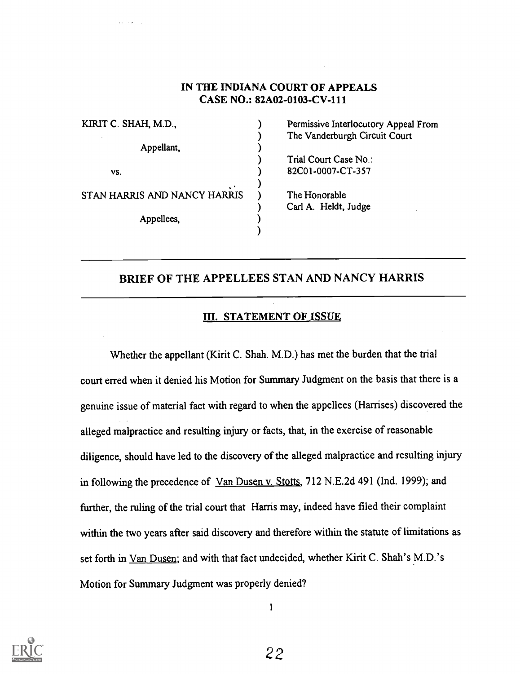# IN THE INDIANA COURT OF APPEALS CASE NO.: 82A02-0103-CV-111

| KIRIT C. SHAH, M.D.,         |  | Permissive Interlocutory Appeal From |
|------------------------------|--|--------------------------------------|
|                              |  | The Vanderburgh Circuit Court        |
| Appellant,                   |  |                                      |
|                              |  | Trial Court Case No.:                |
| VS.                          |  | 82C01-0007-CT-357                    |
|                              |  |                                      |
| STAN HARRIS AND NANCY HARRIS |  | The Honorable                        |
|                              |  | Carl A. Heldt, Judge                 |
| Appellees,                   |  |                                      |
|                              |  |                                      |

# BRIEF OF THE APPELLEES STAN AND NANCY HARRIS

### III. STATEMENT OF ISSUE

Whether the appellant (Kirit C. Shah. M.D.) has met the burden that the trial court erred when it denied his Motion for Summary Judgment on the basis that there is a genuine issue of material fact with regard to when the appellees (Harrises) discovered the alleged malpractice and resulting injury or facts, that, in the exercise of reasonable diligence, should have led to the discovery of the alleged malpractice and resulting injury in following the precedence of Van Dusen v. Stotts, 712 N.E.2d 491 (Ind. 1999); and further, the ruling of the trial court that Harris may, indeed have filed their complaint within the two years after said discovery and therefore within the statute of limitations as set forth in Van Dusen; and with that fact undecided, whether Kirit C. Shah's M.D.'s Motion for Summary Judgment was properly denied?



1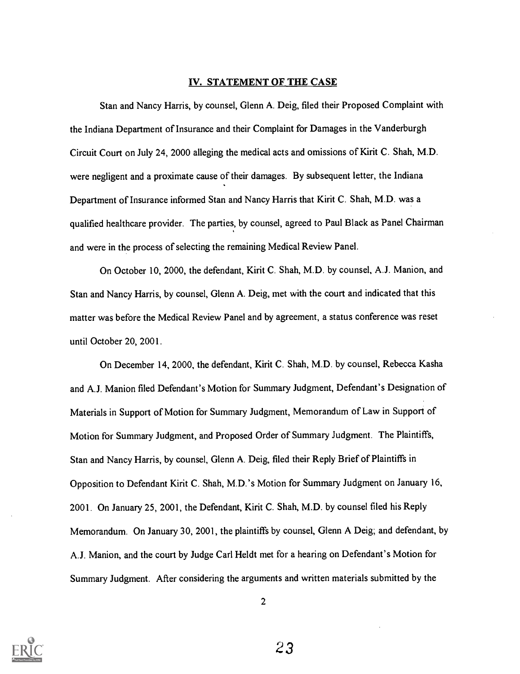#### IV. STATEMENT OF THE CASE

Stan and Nancy Harris, by counsel, Glenn A. Deig, filed their Proposed Complaint with the Indiana Department of Insurance and their Complaint for Damages in the Vanderburgh Circuit Court on July 24, 2000 alleging the medical acts and omissions of Kirit C. Shah, M.D. were negligent and a proximate cause of their damages. By subsequent letter, the Indiana Department of Insurance informed Stan and Nancy Harris that Kirit C. Shah, M.D. was a qualified healthcare provider. The parties, by counsel, agreed to Paul Black as Panel Chairman and were in the process of selecting the remaining Medical Review Panel.

On October 10, 2000, the defendant, Kirit C. Shah, M.D. by counsel, A.J. Manion, and Stan and Nancy Harris, by counsel, Glenn A. Deig, met with the court and indicated that this matter was before the Medical Review Panel and by agreement, a status conference was reset until October 20, 2001.

On December 14, 2000, the defendant, Kirit C. Shah, M.D. by counsel, Rebecca Kasha and A.J. Manion filed Defendant's Motion for Summary Judgment, Defendant's Designation of Materials in Support of Motion for Summary Judgment, Memorandum of Law in Support of Motion for Summary Judgment, and Proposed Order of Summary Judgment. The Plaintiffs, Stan and Nancy Harris, by counsel, Glenn A. Deig, filed their Reply Brief of Plaintiffs in Opposition to Defendant Kirit C. Shah, M.D.'s Motion for Summary Judgment on January 16, 2001. On January 25, 2001, the Defendant, Kirit C. Shah, M.D. by counsel filed his Reply Memorandum. On January 30, 2001, the plaintiffs by counsel, Glenn A Deig; and defendant, by A.J. Manion, and the court by Judge Carl Heldt met for a hearing on Defendant's Motion for Summary Judgment. After considering the arguments and written materials submitted by the



2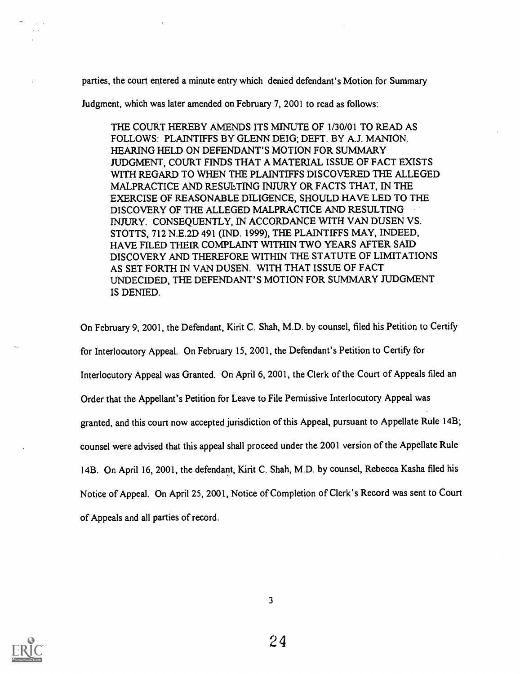parties, the court entered a minute entry which denied defendant's Motion for Summary

Judgment, which was later amended on February 7, 2001 to read as follows:

THE COURT HEREBY AMENDS ITS MINUTE OF 1/30/01 TO READ AS FOLLOWS: PLAINTIFFS BY GLENN DEIG; DEFT. BY A.J. MANION. HEARING HELD ON DEFENDANT'S MOTION FOR SUMMARY JUDGMENT, COURT FINDS THAT A MATERIAL ISSUE OF FACT EXISTS WITH REGARD TO WHEN THE PLAINTIFFS DISCOVERED THE ALLEGED MALPRACTICE AND RESULTING INJURY OR FACTS THAT, IN THE EXERCISE OF REASONABLE DILIGENCE, SHOULD HAVE LED TO THE DISCOVERY OF THE ALLEGED MALPRACTICE AND RESULTING INJURY. CONSEQUENTLY, IN ACCORDANCE WITH VAN DUSEN VS. STOTTS, 712 N.E.2D 491 (IND. 1999), THE PLAINTIFFS MAY, INDEED, HAVE FILED THEIR COMPLAINT WITHIN TWO YEARS AFTER SAID DISCOVERY AND THEREFORE WITHIN THE STATUTE OF LIMITATIONS AS SET FORTH IN VAN DUSEN. WITH THAT ISSUE OF FACT UNDECIDED, THE DEFENDANT'S MOTION FOR SUMMARY JUDGMENT IS DENIED.

On February 9, 2001, the Defendant, Kirit C. Shah, M.D. by counsel, filed his Petition to Certify for Interlocutory Appeal. On February 15, 2001, the Defendant's Petition to Certify for Interlocutory Appeal was Granted. On April 6, 2001, the Clerk of the Court of Appeals filed an Order that the Appellant's Petition for Leave to File Permissive Interlocutory Appeal was granted, and this court now accepted jurisdiction of this Appeal, pursuant to Appellate Rule 14B; counsel were advised that this appeal shall proceed under the 2001 version of the Appellate Rule 14B. On April 16, 2001, the defendant, Kirit C. Shah, M.D. by counsel, Rebecca Kasha filed his Notice of Appeal. On April 25, 2001, Notice of Completion of Clerk's Record was sent to Court of Appeals and all parties of record.

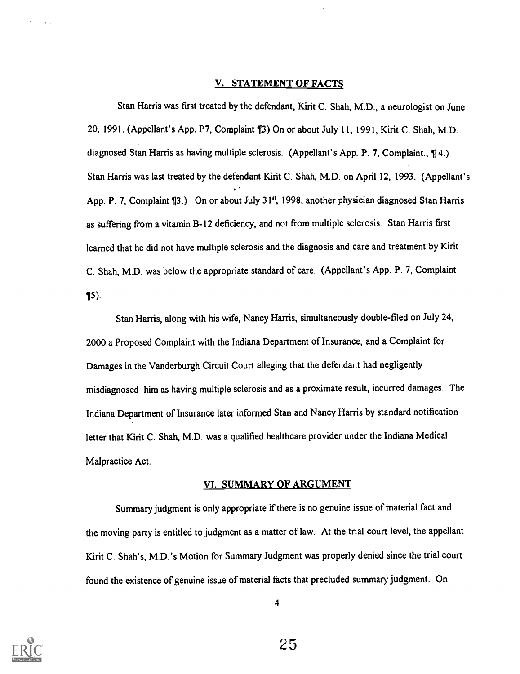#### V. STATEMENT OF FACTS

Stan Harris was first treated by the defendant, Kirit C. Shah, M.D., a neurologist on June 20, 1991. (Appellant's App. P7, Complaint ¶3) On or about July 11, 1991, Kirit C. Shah, M.D. diagnosed Stan Harris as having multiple sclerosis. (Appellant's App. P. 7, Complaint., ¶ 4.) Stan Harris was last treated by the defendant Kirit C. Shah, M.D. on April 12, 1993. (Appellant's App. P. 7, Complaint ¶3.) On or about July 31", 1998, another physician diagnosed Stan Harris as suffering from a vitamin B-12 deficiency, and not from multiple sclerosis. Stan Harris first learned that he did not have multiple sclerosis and the diagnosis and care and treatment by Kirit C. Shah, M.D. was below the appropriate standard of care. (Appellant's App. P. 7, Complaint ¶5).

Stan Harris, along with his wife, Nancy Harris, simultaneously double-filed on July 24, 2000 a Proposed Complaint with the Indiana Department of Insurance, and a Complaint for Damages in the Vanderburgh Circuit Court alleging that the defendant had negligently misdiagnosed him as having multiple sclerosis and as a proximate result, incurred damages. The Indiana Department of Insurance later informed Stan and Nancy Harris by standard notification letter that Kirit C. Shah, M.D. was a qualified healthcare provider under the Indiana Medical Malpractice Act.

#### VI. SUMMARY OF ARGUMENT

Summary judgment is only appropriate if there is no genuine issue of material fact and the moving party is entitled to judgment as a matter of law. At the trial court level, the appellant Kirit C. Shah's, M.D.'s Motion for Summary Judgment was properly denied since the trial court found the existence of genuine issue of material facts that precluded summary judgment. On

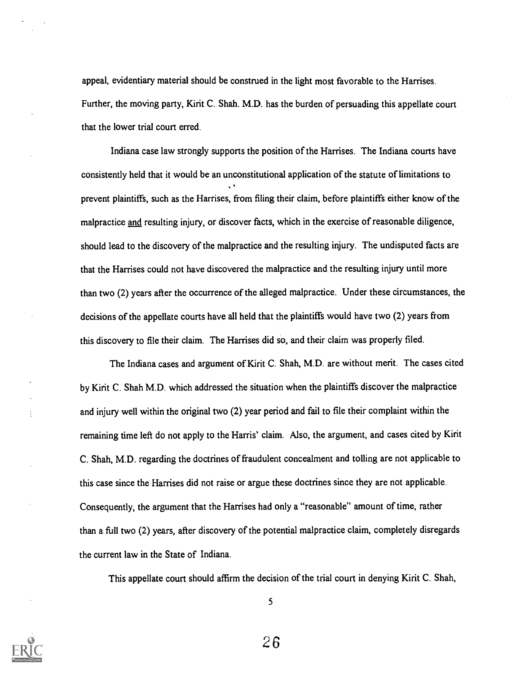appeal, evidentiary material should be construed in the light most favorable to the Harrises. Further, the moving party, Kirit C. Shah. M.D. has the burden of persuading this appellate court that the lower trial court erred.

Indiana case law strongly supports the position of the Harrises. The Indiana courts have consistently held that it would be an unconstitutional application of the statute of limitations to prevent plaintiffs, such as the Harrises, from filing their claim, before plaintiffs either know of the malpractice and resulting injury, or discover facts, which in the exercise of reasonable diligence, should lead to the discovery of the malpractice and the resulting injury. The undisputed facts are that the Harrises could not have discovered the malpractice and the resulting injury until more than two (2) years after the occurrence of the alleged malpractice. Under these circumstances, the decisions of the appellate courts have all held that the plaintiffs would have two (2) years from this discovery to file their claim. The Harrises did so, and their claim was properly filed.

The Indiana cases and argument of Kirit C. Shah, M.D. are without merit. The cases cited by Kirit C. Shah M.D. which addressed the situation when the plaintiffs discover the malpractice and injury well within the original two (2) year period and fail to file their complaint within the remaining time left do not apply to the Harris' claim. Also, the argument, and cases cited by Kirit C. Shah, M.D. regarding the doctrines of fraudulent concealment and tolling are not applicable to this case since the Harrises did not raise or argue these doctrines since they are not applicable. Consequently, the argument that the Harrises had only a "reasonable" amount of time, rather than a full two (2) years, after discovery of the potential malpractice claim, completely disregards the current law in the State of Indiana.

This appellate court should affirm the decision of the trial court in denying Kirit C. Shah,

5

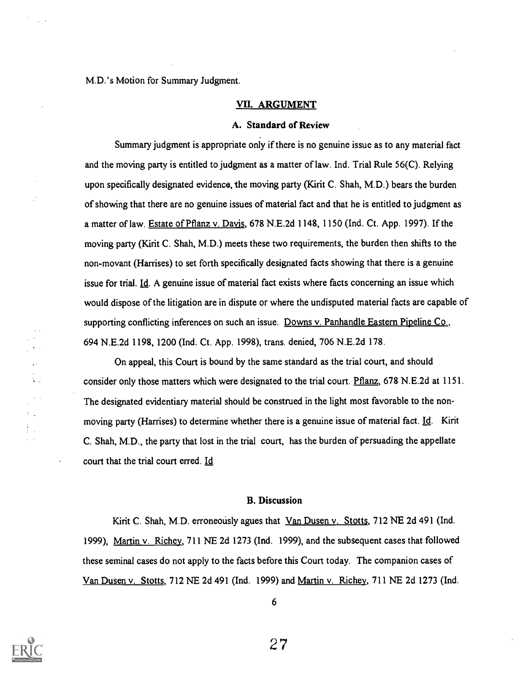M.D.'s Motion for Summary Judgment.

#### VII. ARGUMENT

#### A. Standard of Review

Summary judgment is appropriate only if there is no genuine issue as to any material fact and the moving party is entitled to judgment as a matter of law. Ind. Trial Rule 56(C). Relying upon specifically designated evidence, the moving party (Kirit C. Shah, M.D.) bears the burden of showing that there are no genuine issues of material fact and that he is entitled to judgment as a matter of law. Estate of Pflanz v. Davis, 678 N.E.2d 1148, 1150 (Ind. Ct. App. 1997). If the moving party (Kirit C. Shah, M.D.) meets these two requirements, the burden then shifts to the non-movant (Harrises) to set forth specifically designated facts showing that there is a genuine issue for trial. Id. A genuine issue of material fact exists where facts concerning an issue which would dispose of the litigation are in dispute or where the undisputed material facts are capable of supporting conflicting inferences on such an issue. Downs v. Panhandle Eastern Pipeline Co., 694 N.E.2d 1198, 1200 (Ind. Ct. App. 1998), trans. denied, 706 N.E.2d 178.

On appeal, this Court is bound by the same standard as the trial court, and should consider only those matters which were designated to the trial court. Pflanz, 678 N.E.2d at 1151. The designated evidentiary material should be construed in the light most favorable to the nonmoving party (Harrises) to determine whether there is a genuine issue of material fact. Id. Kirit C. Shah, M.D., the party that lost in the trial court, has the burden of persuading the appellate court that the trial court erred. Id

#### B. Discussion

Kirit C. Shah, M.D. erroneously agues that Van Dusen v. Stotts, 712 NE 2d 491 (Ind. 1999), Martin v. Richey, 711 NE 2d 1273 (Ind. 1999), and the subsequent cases that followed these seminal cases do not apply to the facts before this Court today. The companion cases of Van Dusen v. Stotts, 712 NE 2d 491 (Ind. 1999) and Martin v. Richey, 711 NE 2d 1273 (Ind.



ł.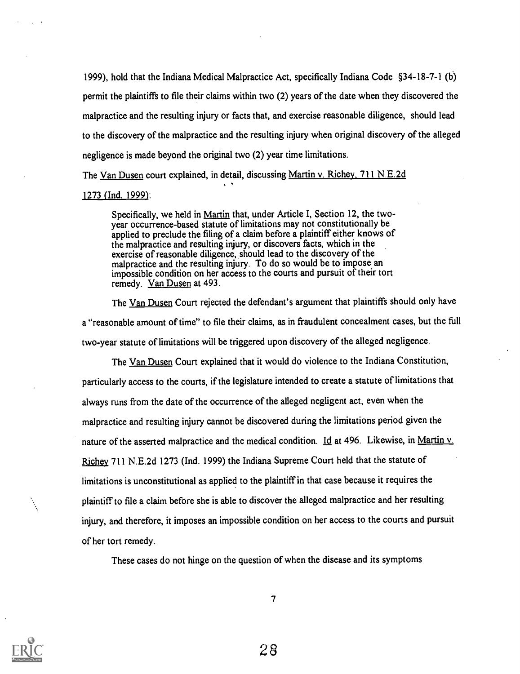1999), hold that the Indiana Medical Malpractice Act, specifically Indiana Code §34-18-7-1 (b) permit the plaintiffs to file their claims within two (2) years of the date when they discovered the malpractice and the resulting injury or facts that, and exercise reasonable diligence, should lead to the discovery of the malpractice and the resulting injury when original discovery of the alleged negligence is made beyond the original two (2) year time limitations.

The Van Dusen court explained, in detail, discussing Martin v. Richey, 711 N.E.2d

.

#### 1273 (Ind. 1999):

Specifically, we held in Martin that, under Article I, Section 12, the twoyear occurrence-based statute of limitations may not constitutionally be applied to preclude the filing of a claim before a plaintiff either knows of the malpractice and resulting injury, or discovers facts, which in the exercise of reasonable diligence, should lead to the discovery of the malpractice and the resulting injury. To do so would be to impose an impossible condition on her access to the courts and pursuit of their tort remedy. Van Dusen at 493.

The Van Dusen Court rejected the defendant's argument that plaintiffs should only have a "reasonable amount of time" to file their claims, as in fraudulent concealment cases, but the full two-year statute of limitations will be triggered upon discovery of the alleged negligence.

The Van Dusen Court explained that it would do violence to the Indiana Constitution, particularly access to the courts, if the legislature intended to create a statute of limitations that always runs from the date of the occurrence of the alleged negligent act, even when the malpractice and resulting injury cannot be discovered during the limitations period given the nature of the asserted malpractice and the medical condition. Id at 496. Likewise, in Martin v. Richey 711 N.E.2d 1273 (Ind. 1999) the Indiana Supreme Court held that the statute of limitations is unconstitutional as applied to the plaintiff in that case because it requires the plaintiff to file a claim before she is able to discover the alleged malpractice and her resulting injury, and therefore, it imposes an impossible condition on her access to the courts and pursuit of her tort remedy.

These cases do not hinge on the question of when the disease and its symptoms

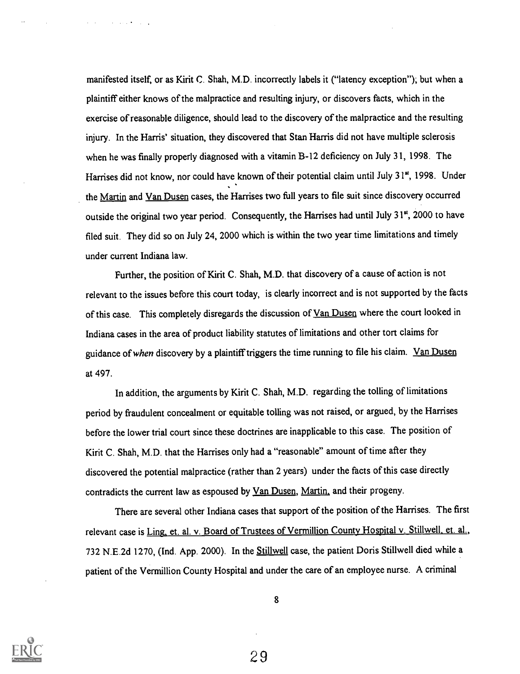manifested itself, or as Kirit C. Shah, M.D. incorrectly labels it ("latency exception"); but when a plaintiff either knows of the malpractice and resulting injury, or discovers facts, which in the exercise of reasonable diligence, should lead to the discovery of the malpractice and the resulting injury. In the Harris' situation, they discovered that Stan Harris did not have multiple sclerosis when he was finally properly diagnosed with a vitamin B-12 deficiency on July 31, 1998. The Harrises did not know, nor could have known of their potential claim until July 31<sup>st</sup>, 1998. Under the Martin and Van Dusen cases, the Harrises two full years to file suit since discovery occurred outside the original two year period. Consequently, the Harrises had until July 31", 2000 to have filed suit. They did so on July 24, 2000 which is within the two year time limitations and timely under current Indiana law.

Further, the position of Kirit C. Shah, M.D. that discovery of a cause of action is not relevant to the issues before this court today, is clearly incorrect and is not supported by the facts of this case. This completely disregards the discussion of Van Dusen where the court looked in Indiana cases in the area of product liability statutes of limitations and other tort claims for guidance of when discovery by a plaintiff triggers the time running to file his claim. Van Dusen at 497.

In addition, the arguments by Kirit C. Shah, M.D. regarding the tolling of limitations period by fraudulent concealment or equitable tolling was not raised, or argued, by the Harrises before the lower trial court since these doctrines are inapplicable to this case. The position of Kirit C. Shah, M.D. that the Harrises only had a "reasonable" amount of time after they discovered the potential malpractice (rather than 2 years) under the facts of this case directly contradicts the current law as espoused by Van Dusen, Martin, and their progeny.

There are several other Indiana cases that support of the position of the Harrises. The first relevant case is Ling, et. al. v. Board of Trustees of Vermillion County Hospital v. Stillwell, et. al., 732 N.E.2d 1270, (Ind. App. 2000). In the Stillwell case, the patient Doris Stillwell died while a patient of the Vermillion County Hospital and under the care of an employee nurse. A criminal

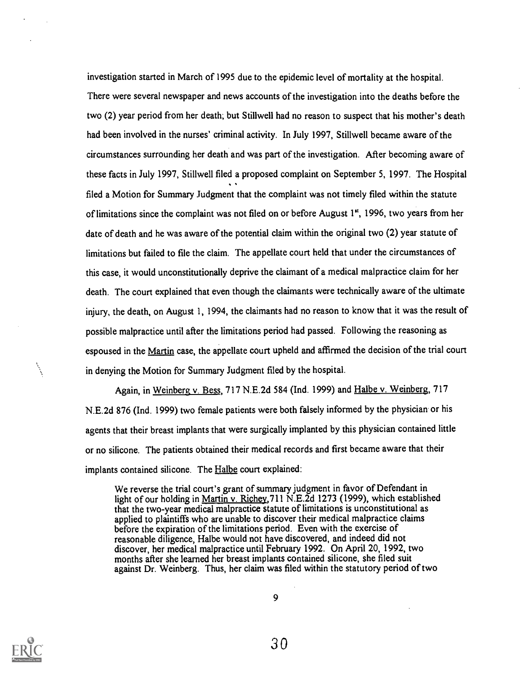investigation started in March of 1995 due to the epidemic level of mortality at the hospital. There were several newspaper and news accounts of the investigation into the deaths before the two (2) year period from her death; but Stillwell had no reason to suspect that his mother's death had been involved in the nurses' criminal activity. In July 1997, Stillwell became aware of the circumstances surrounding her death and was part of the investigation. After becoming aware of these facts in July 1997, Stillwell filed a proposed complaint on September 5, 1997. The Hospital filed a Motion for Summary Judgment that the complaint was not timely filed within the statute of limitations since the complaint was not filed on or before August 1", 1996, two years from her date of death and he was aware of the potential claim within the original two (2) year statute of limitations but failed to file the claim. The appellate court held that under the circumstances of this case, it would unconstitutionally deprive the claimant of a medical malpractice claim for her death. The court explained that even though the claimants were technically aware of the ultimate injury, the death, on August 1, 1994, the claimants had no reason to know that it was the result of possible malpractice until after the limitations period had passed. Following the reasoning as espoused in the Martin case, the appellate court upheld and affirmed the decision of the trial court in denying the Motion for Summary Judgment filed by the hospital.

Again, in Weinberg v. Bess, 717 N.E.2d 584 (Ind. 1999) and Halbe v. Weinberg, 717 N.E.2d 876 (Ind. 1999) two female patients were both falsely informed by the physician or his agents that their breast implants that were surgically implanted by this physician contained little or no silicone. The patients obtained their medical records and first became aware that their implants contained silicone. The Halbe court explained:

We reverse the trial court's grant of summary judgment in favor of Defendant in light of our holding in Martin v. Richey,711 N.E.2d 1273 (1999), which established that the two-year medical malpractice statute of limitations is unconstitutional as applied to plaintiffs who are unable to discover their medical malpractice claims before the expiration of the limitations period. Even with the exercise of reasonable diligence, Halbe would not have discovered, and indeed did not discover, her medical malpractice until February 1992. On April 20, 1992, two months after she learned her breast implants contained silicone, she filed suit against Dr. Weinberg. Thus, her claim was filed within the statutory period of two

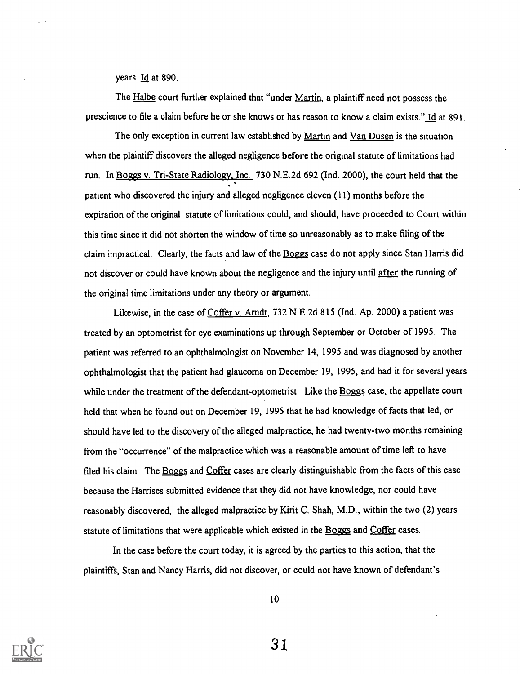years. Id at 890.

The Halbe court further explained that "under Martin, a plaintiff need not possess the prescience to file a claim before he or she knows or has reason to know a claim exists." Id at 891.

The only exception in current law established by Martin and Van Dusen is the situation when the plaintiff discovers the alleged negligence before the original statute of limitations had run. In Boggs v. Tri-State Radiology. Inc. 730 N.E.2d 692 (Ind. 2000), the court held that the patient who discovered the injury and alleged negligence eleven (11) months before the expiration of the original statute of limitations could, and should, have proceeded to Court within this time since it did not shorten the window of time so unreasonably as to make filing of the claim impractical. Clearly, the facts and law of the Boggs case do not apply since Stan Harris did not discover or could have known about the negligence and the injury until after the running of the original time limitations under any theory or argument.

Likewise, in the case of Coffer v. Arndt, 732 N.E.2d 815 (Ind. Ap. 2000) a patient was treated by an optometrist for eye examinations up through September or October of 1995. The patient was referred to an ophthalmologist on November 14, 1995 and was diagnosed by another ophthalmologist that the patient had glaucoma on December 19, 1995, and had it for several years while under the treatment of the defendant-optometrist. Like the Boggs case, the appellate court held that when he found out on December 19, 1995 that he had knowledge of facts that led, or should have led to the discovery of the alleged malpractice, he had twenty-two months remaining from the "occurrence" of the malpractice which was a reasonable amount of time left to have filed his claim. The Boggs and Coffer cases are clearly distinguishable from the facts of this case because the Harrises submitted evidence that they did not have knowledge, nor could have reasonably discovered, the alleged malpractice by Kirit C. Shah, M.D., within the two (2) years statute of limitations that were applicable which existed in the Boggs and Coffer cases.

In the case before the court today, it is agreed by the parties to this action, that the plaintiffs, Stan and Nancy Harris, did not discover, or could not have known of defendant's



10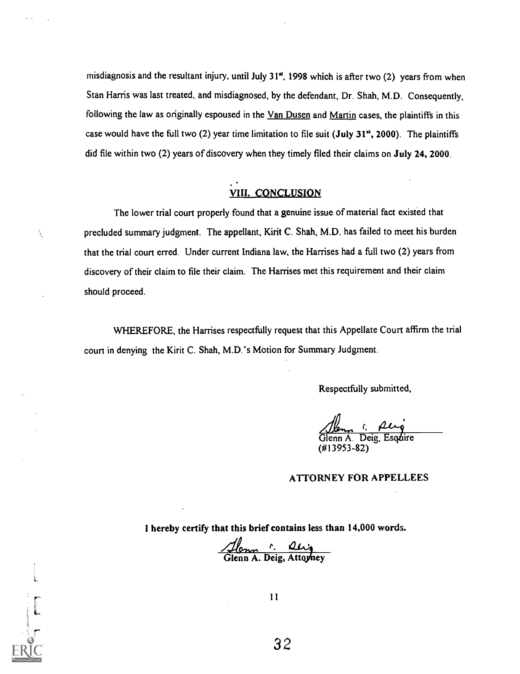misdiagnosis and the resultant injury, until July 31", 1998 which is after two (2) years from when Stan Harris was last treated, and misdiagnosed, by the defendant, Dr. Shah, M.D. Consequently, following the law as originally espoused in the Van Dusen and Martin cases, the plaintiffs in this case would have the full two (2) year time limitation to file suit (July 31<sup>st</sup>, 2000). The plaintiffs did file within two (2) years of discovery when they timely filed their claims on July 24, 2000.

#### VIII. CONCLUSION

The lower trial court properly found that a genuine issue of material fact existed that precluded summary judgment. The appellant, Kirit C. Shah, M.D. has failed to meet his burden that the trial court erred. Under current Indiana law, the Harrises had a full two (2) years from discovery of their claim to file their claim. The Harrises met this requirement and their claim should proceed.

Ì,

WHEREFORE, the Harrises respectfully request that this Appellate Court affirm the trial court in denying the Kirit C. Shah, M.D.'s Motion for Summary Judgment.

Respectfully submitted,

Jem 1. perg<br>Glenn A. Deig, Esquire (#13953-82)

#### ATTORNEY FOR APPELLEES

I hereby certify that this brief contains less than 14,000 words.

Alenn C. Alignon<br>Glenn A. Deig, Attorney

11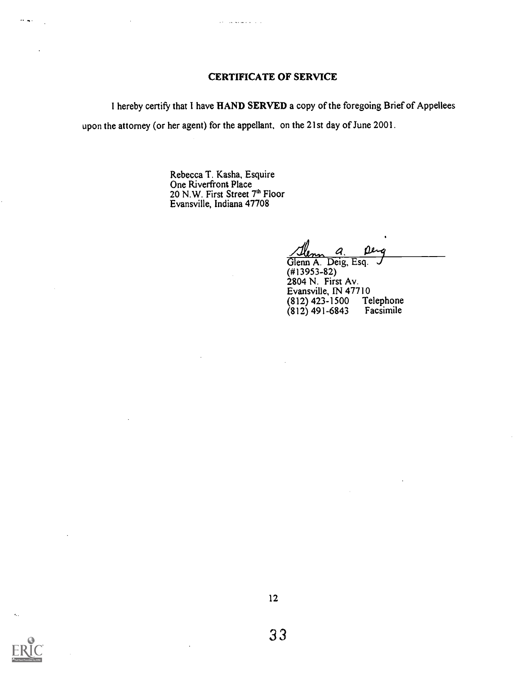#### CERTIFICATE OF SERVICE

I hereby certify that I have HAND SERVED a copy of the foregoing Brief of Appellees

upon the attorney (or her agent) for the appellant, on the 21st day of June 2001.

والمستفادة المدارية

Rebecca T. Kasha, Esquire One Riverfront Place 20 N.W. First Street 7th Floor Evansville, Indiana 47708

a. maa Glenn A. Deig, Esq.

(#13953-82) 2804 N. First Av. Evansville, IN 47710<br>(812) 423-1500 Telephone<br>(812) 491-6843 Facsimile (812) 423-1500 Telephone (812) 491-6843 Facsimile



 $\sim$  4.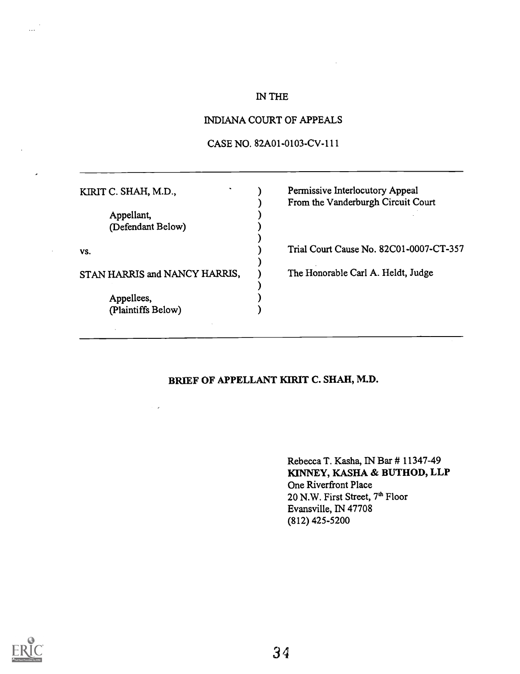### IN THE

#### INDIANA COURT OF APPEALS

#### CASE NO. 82A01-0103-CV-111

| KIRIT C. SHAH, M.D.,            | Permissive Interlocutory Appeal<br>From the Vanderburgh Circuit Court |
|---------------------------------|-----------------------------------------------------------------------|
| Appellant,<br>(Defendant Below) |                                                                       |
| VS.                             | Trial Court Cause No. 82C01-0007-CT-357                               |
| STAN HARRIS and NANCY HARRIS,   | The Honorable Carl A. Heldt, Judge                                    |
| Appellees,                      |                                                                       |
| (Plaintiffs Below)              |                                                                       |
|                                 |                                                                       |

# BRIEF OF APPELLANT KIRIT C. SHAH, M.D.

Rebecca T. Kasha, IN Bar # 11347-49 KINNEY, KASHA & BUTHOD, LLP One Riverfront Place 20 N.W. First Street, 7<sup>th</sup> Floor Evansville, IN 47708 (812) 425-5200



 $\ddotsc$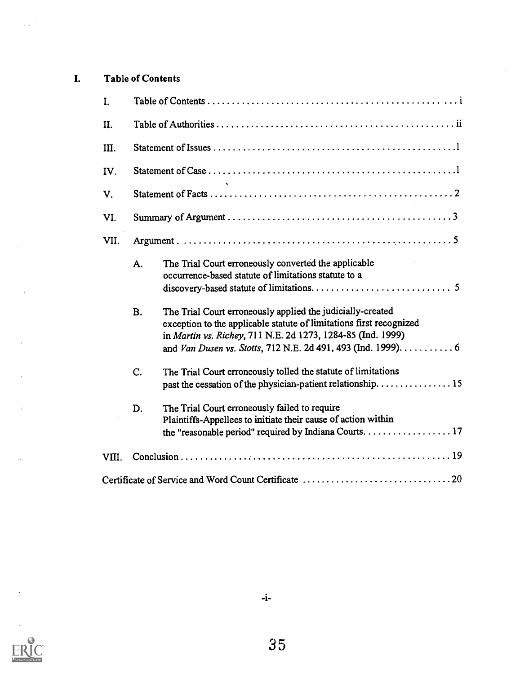# I. Table of Contents

 $\mathcal{L}_{\mathcal{A}}^{(1)}$ 

 $\bar{z}$ 

 $\ddot{\phantom{0}}$ 

 $\ddot{\phantom{a}}$ 

 $\bar{z}$ 

| I.    |           |                                                                                                                                                                                                                                                                   |  |  |  |  |
|-------|-----------|-------------------------------------------------------------------------------------------------------------------------------------------------------------------------------------------------------------------------------------------------------------------|--|--|--|--|
| II.   |           |                                                                                                                                                                                                                                                                   |  |  |  |  |
| III.  |           |                                                                                                                                                                                                                                                                   |  |  |  |  |
| IV.   |           |                                                                                                                                                                                                                                                                   |  |  |  |  |
| V.    |           |                                                                                                                                                                                                                                                                   |  |  |  |  |
| VI.   |           |                                                                                                                                                                                                                                                                   |  |  |  |  |
| VII.  |           |                                                                                                                                                                                                                                                                   |  |  |  |  |
|       | A.        | The Trial Court erroneously converted the applicable<br>occurrence-based statute of limitations statute to a                                                                                                                                                      |  |  |  |  |
|       | <b>B.</b> | The Trial Court erroneously applied the judicially-created<br>exception to the applicable statute of limitations first recognized<br>in Martin vs. Richey, 711 N.E. 2d 1273, 1284-85 (Ind. 1999)<br>and Van Dusen vs. Stotts, 712 N.E. 2d 491, 493 (Ind. 1999). 6 |  |  |  |  |
|       | C.        | The Trial Court erroneously tolled the statute of limitations<br>past the cessation of the physician-patient relationship. 15                                                                                                                                     |  |  |  |  |
|       | D.        | The Trial Court erroneously failed to require<br>Plaintiffs-Appellees to initiate their cause of action within<br>the "reasonable period" required by Indiana Courts. 17                                                                                          |  |  |  |  |
| VIII. |           |                                                                                                                                                                                                                                                                   |  |  |  |  |
|       |           |                                                                                                                                                                                                                                                                   |  |  |  |  |

 $\hat{\mathcal{L}}$ 

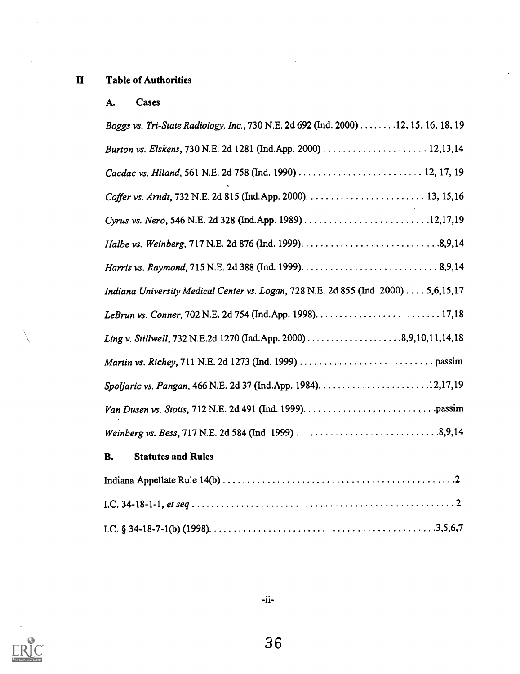# II Table of Authorities

 $\bar{\mathbb{Z}}$  .  $\bar{\mathbb{Z}}$ 

 $\sim$   $\sim$ 

### A. Cases

| Boggs vs. Tri-State Radiology, Inc., 730 N.E. 2d 692 (Ind. 2000) 12, 15, 16, 18, 19 |
|-------------------------------------------------------------------------------------|
|                                                                                     |
|                                                                                     |
|                                                                                     |
| Cyrus vs. Nero, 546 N.E. 2d 328 (Ind.App. 1989) 12,17,19                            |
|                                                                                     |
|                                                                                     |
| Indiana University Medical Center vs. Logan, 728 N.E. 2d 855 (Ind. 2000) 5,6,15,17  |
|                                                                                     |
|                                                                                     |
|                                                                                     |
|                                                                                     |
|                                                                                     |
|                                                                                     |

 $\ddot{\phantom{0}}$ 

 $\bar{z}$ 

# B. Statutes and Rules

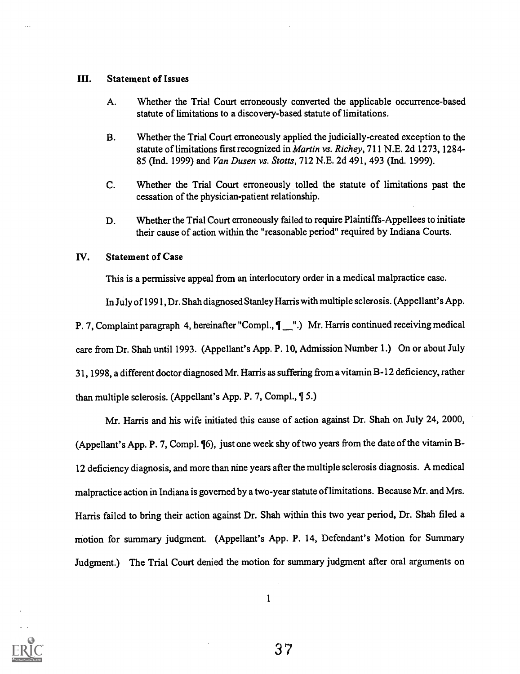#### III. Statement of Issues

- A. Whether the Trial Court erroneously converted the applicable occurrence-based statute of limitations to a discovery-based statute of limitations.
- B. Whether the Trial Court erroneously applied the judicially-created exception to the statute of limitations first recognized in *Martin vs. Richey*, 711 N.E. 2d 1273, 1284-85 (Ind. 1999) and Van Dusen vs. Stotts, 712 N.E. 2d 491, 493 (Ind. 1999).
- C. Whether the Trial Court erroneously tolled the statute of limitations past the cessation of the physician-patient relationship.
- D. Whether the Trial Court erroneously failed to require Plaintiffs-Appellees to initiate their cause of action within the "reasonable period" required by Indiana Courts.

#### IV. Statement of Case

This is a permissive appeal from an interlocutory order in a medical malpractice case.

In July of 1991, Dr. Shah diagnosed Stanley Harris with multiple sclerosis. (Appellant's App.

P. 7, Complaint paragraph 4, hereinafter "Compl.,  $\P$  ".) Mr. Harris continued receiving medical

care from Dr. Shah until 1993. (Appellant's App. P. 10, Admission Number 1.) On or about July

31, 1998, a different doctor diagnosed Mr. Harris as suffering from a vitamin B-12 deficiency, rather

than multiple sclerosis. (Appellant's App. P. 7, Compl.,  $\$\,5.$ )

Mr. Harris and his wife initiated this cause of action against Dr. Shah on July 24, 2000, (Appellant's App. P. 7, Compl. ¶6), just one week shy of two years from the date of the vitamin B-12 deficiency diagnosis, and more than nine years after the multiple sclerosis diagnosis. A medical malpractice action in Indiana is governed by a two-year statute of limitations. Because Mr. and Mrs. Harris failed to bring their action against Dr. Shah within this two year period, Dr. Shah filed a motion for summary judgment. (Appellant's App. P. 14, Defendant's Motion for Summary Judgment.) The Trial Court denied the motion for summary judgment after oral arguments on

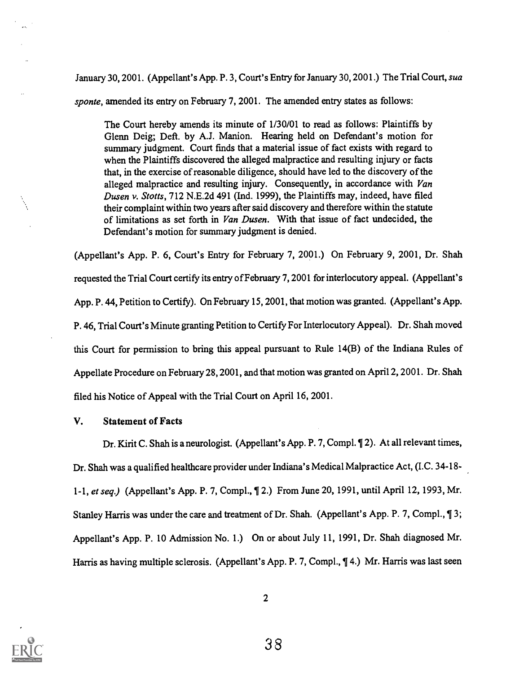January 30, 2001. (Appellant's App. P. 3, Court's Entry for January 30, 2001.) The Trial Court, sua

sponte, amended its entry on February 7, 2001. The amended entry states as follows:

The Court hereby amends its minute of 1/30/01 to read as follows: Plaintiffs by Glenn Deig; Deft. by A.J. Manion. Hearing held on Defendant's motion for summary judgment. Court finds that a material issue of fact exists with regard to when the Plaintiffs discovered the alleged malpractice and resulting injury or facts that, in the exercise of reasonable diligence, should have led to the discovery of the alleged malpractice and resulting injury. Consequently, in accordance with Van Dusen v. Stotts, 712 N.E.2d 491 (Ind. 1999), the Plaintiffs may, indeed, have filed their complaint within two years after said discovery and therefore within the statute of limitations as set forth in Van Dusen. With that issue of fact undecided, the Defendant's motion for summary judgment is denied.

(Appellant's App. P. 6, Court's Entry for February 7, 2001.) On February 9, 2001, Dr. Shah requested the Trial Court certify its entry of February 7, 2001 for interlocutory appeal. (Appellant's App. P. 44, Petition to Certify). On February 15, 2001, that motion was granted. (Appellant's App. P. 46, Trial Court's Minute granting Petition to Certify For Interlocutory Appeal). Dr. Shah moved this Court for permission to bring this appeal pursuant to Rule 14(B) of the Indiana Rules of Appellate Procedure on February 28, 2001, and that motion was granted on April 2, 2001. Dr. Shah filed his Notice of Appeal with the Trial Court on April 16, 2001.

#### V. Statement of Facts

Dr. Kirit C. Shah is a neurologist. (Appellant's App. P. 7, Compl. 12). At all relevant times, Dr. Shah was a qualified healthcare provider under Indiana's Medical Malpractice Act, (I.C. 34 -18- 1-1, et seq.) (Appellant's App. P. 7, Compl., 12.) From June 20, 1991, until April 12, 1993, Mr. Stanley Harris was under the care and treatment of Dr. Shah. (Appellant's App. P. 7, Compl., ¶ 3; Appellant's App. P. 10 Admission No. 1.) On or about July 11, 1991, Dr. Shah diagnosed Mr. Harris as having multiple sclerosis. (Appellant's App. P. 7, Compl., ¶ 4.) Mr. Harris was last seen

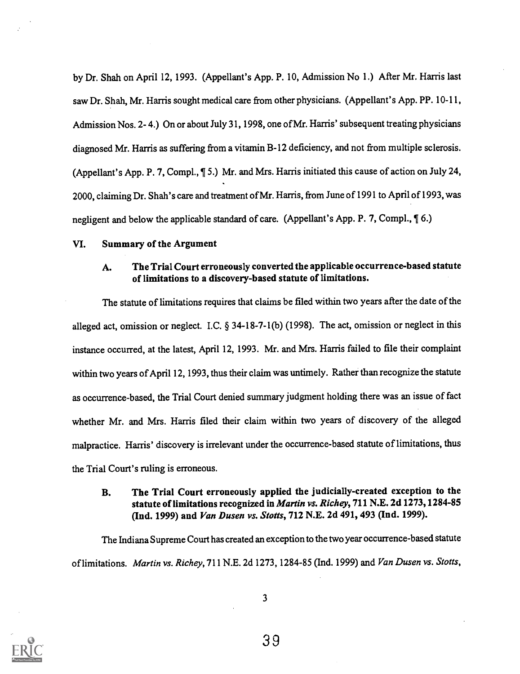by Dr. Shah on April 12, 1993. (Appellant's App. P. 10, Admission No 1.) After Mr. Harris last saw Dr. Shah, Mr. Harris sought medical care from other physicians. (Appellant's App. PP. 10-11, Admission Nos. 2- 4.) On or about July 31, 1998, one of Mr. Harris' subsequent treating physicians diagnosed Mr. Harris as suffering from a vitamin B-12 deficiency, and not from multiple sclerosis. (Appellant's App. P. 7, Compl., ¶ 5.) Mr. and Mrs. Harris initiated this cause of action on July 24, 2000, claiming Dr. Shah's care and treatment of Mr. Harris, from June of 1991 to April of 1993, was negligent and below the applicable standard of care. (Appellant's App. P. 7, Compl., ¶ 6.)

#### VI. Summary of the Argument

### A. The Trial Court erroneously converted the applicable occurrence-based statute of limitations to a discovery-based statute of limitations.

The statute of limitations requires that claims be filed within two years after the date of the alleged act, omission or neglect. I.C. § 34-18-7-1(b) (1998). The act, omission or neglect in this instance occurred, at the latest, April 12, 1993. Mr. and Mrs. Harris failed to file their complaint within two years of April 12, 1993, thus their claim was untimely. Rather than recognize the statute as occurrence-based, the Trial Court denied summary judgment holding there was an issue of fact whether Mr. and Mrs. Harris filed their claim within two years of discovery of the alleged malpractice. Harris' discovery is irrelevant under the occurrence-based statute of limitations, thus the Trial Court's ruling is erroneous.

#### B. The Trial Court erroneously applied the judicially-created exception to the statute of limitations recognized in Martin vs. Richey, 711 N.E. 2d 1273, 1284-85 (Ind. 1999) and Van Dusen vs. Stotts, 712 N.E. 2d 491, 493 (Ind. 1999).

The Indiana Supreme Court has created an exception to the two year occurrence-based statute of limitations. Martin vs. Richey, 711 N.E. 2d 1273, 1284-85 (Ind. 1999) and Van Dusen vs. Stotts,

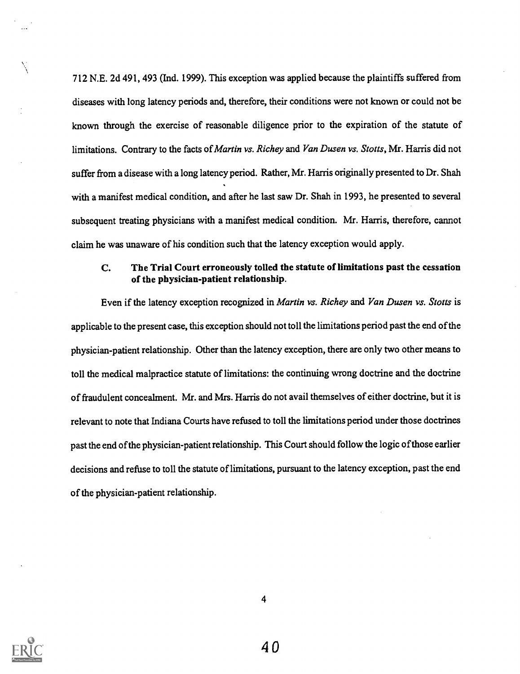712 N.E. 2d 491, 493 (Ind. 1999). This exception was applied because the plaintiffs suffered from diseases with long latency periods and, therefore, their conditions were not known or could not be known through the exercise of reasonable diligence prior to the expiration of the statute of limitations. Contrary to the facts of Martin vs. Richey and Van Dusen vs. Stotts, Mr. Harris did not suffer from a disease with a long latency period. Rather, Mr. Harris originally presented to Dr. Shah with a manifest medical condition, and after he last saw Dr. Shah in 1993, he presented to several subsequent treating physicians with a manifest medical condition. Mr. Harris, therefore, cannot claim he was unaware of his condition such that the latency exception would apply.

#### C. The Trial Court erroneously tolled the statute of limitations past the cessation of the physician-patient relationship.

Even if the latency exception recognized in Martin vs. Richey and Van Dusen vs. Stotts is applicable to the present case, this exception should not toll the limitations period past the end of the physician-patient relationship. Other than the latency exception, there are only two other means to toll the medical malpractice statute of limitations: the continuing wrong doctrine and the doctrine of fraudulent concealment. Mr. and Mrs. Harris do not avail themselves of either doctrine, but it is relevant to note that Indiana Courts have refused to toll the limitations period under those doctrines past the end of the physician-patient relationship. This Court should follow the logic of those earlier decisions and refuse to toll the statute of limitations, pursuant to the latency exception, past the end of the physician-patient relationship.

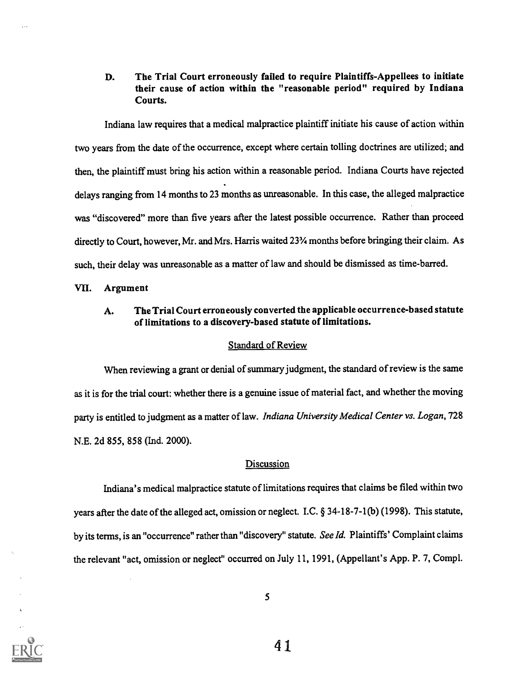#### D. The Trial Court erroneously failed to require Plaintiffs-Appellees to initiate their cause of action within the "reasonable period" required by Indiana Courts.

Indiana law requires that a medical malpractice plaintiff initiate his cause of action within two years from the date of the occurrence, except where certain tolling doctrines are utilized; and then, the plaintiff must bring his action within a reasonable period. Indiana Courts have rejected delays ranging from 14 months to 23 months as unreasonable. In this case, the alleged malpractice was "discovered" more than five years after the latest possible occurrence. Rather than proceed directly to Court, however, Mr. and Mrs. Harris waited 23% months before bringing their claim. As such, their delay was unreasonable as a matter of law and should be dismissed as time-barred.

#### VII. Argument

### A. The Trial Court erroneously converted the applicable occurrence-based statute of limitations to a discovery-based statute of limitations.

#### Standard of Review

When reviewing a grant or denial of summary judgment, the standard of review is the same as it is for the trial court: whether there is a genuine issue of material fact, and whether the moving party is entitled to judgment as a matter of law. Indiana University Medical Center vs. Logan, 728 N.E. 2d 855, 858 (Ind. 2000).

#### **Discussion**

Indiana's medical malpractice statute of limitations requires that claims be filed within two years after the date of the alleged act, omission or neglect. I.C. § 34-18-7-1(b) (1998). This statute, by its terms, is an "occurrence" rather than "discovery" statute. See Id. Plaintiffs' Complaint claims the relevant "act, omission or neglect" occurred on July 11, 1991, (Appellant's App. P. 7, Compl.

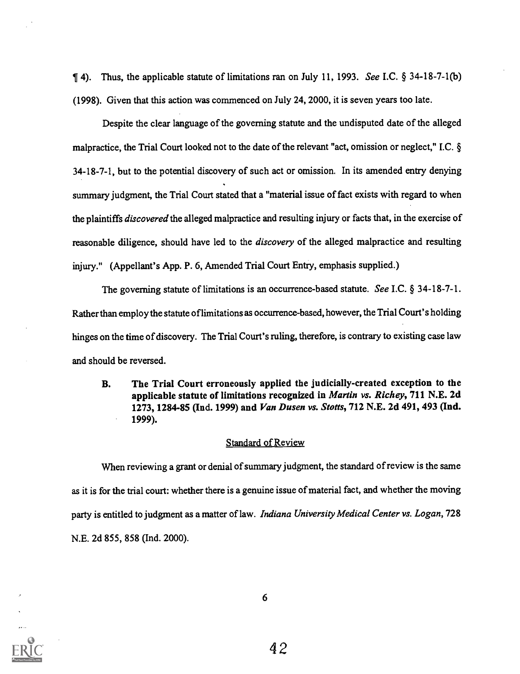$\P$  4). Thus, the applicable statute of limitations ran on July 11, 1993. See I.C. § 34-18-7-1(b) (1998). Given that this action was commenced on July 24, 2000, it is seven years too late.

Despite the clear language of the governing statute and the undisputed date of the alleged malpractice, the Trial Court looked not to the date of the relevant "act, omission or neglect," I.C. § 34-18-7-1, but to the potential discovery of such act or omission. In its amended entry denying summary judgment, the Trial Court stated that a "material issue of fact exists with regard to when the plaintiffs *discovered* the alleged malpractice and resulting injury or facts that, in the exercise of reasonable diligence, should have led to the *discovery* of the alleged malpractice and resulting injury." (Appellant's App. P. 6, Amended Trial Court Entry, emphasis supplied.)

The governing statute of limitations is an occurrence-based statute. See I.C. § 34-18-7-1. Rather than employ the statute of limitations as occurrence-based, however, the Trial Court's holding hinges on the time of discovery. The Trial Court's ruling, therefore, is contrary to existing case law and should be reversed.

B. The Trial Court erroneously applied the judicially-created exception to the applicable statute of limitations recognized in Martin vs. Richey, 711 N.E. 2d 1273, 1284-85 (Ind. 1999) and Van Dusen vs. Stotts, 712 N.E. 2d 491, 493 (Ind. 1999).

#### Standard of Review

When reviewing a grant or denial of summary judgment, the standard of review is the same as it is for the trial court: whether there is a genuine issue of material fact, and whether the moving party is entitled to judgment as a matter of law. *Indiana University Medical Center vs. Logan,* 728 N.E. 2d 855, 858 (Ind. 2000).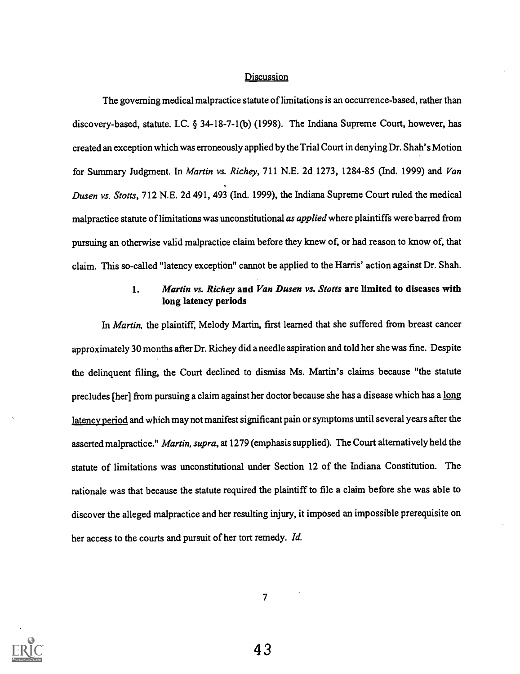#### **Discussion**

The governing medical malpractice statute of limitations is an occurrence-based, rather than discovery-based, statute. I.C. § 34-18-7-1(b) (1998). The Indiana Supreme Court, however, has created an exception which was erroneously applied by the Trial Court in denying Dr. Shah's Motion for Summary Judgment. In Martin vs. Richey, 711 N.E. 2d 1273, 1284-85 (Ind. 1999) and Van Dusen vs. Stotts, 712 N.E. 2d 491, 493 (Ind. 1999), the Indiana Supreme Court ruled the medical malpractice statute of limitations was unconstitutional as applied where plaintiffs were barred from pursuing an otherwise valid malpractice claim before they knew of, or had reason to know of, that claim. This so-called "latency exception" cannot be applied to the Harris' action against Dr. Shah.

## 1. Martin vs. Richey and Van Dusen vs. Stotts are limited to diseases with long latency periods

In Martin, the plaintiff, Melody Martin, first learned that she suffered from breast cancer approximately 30 months after Dr. Richey did a needle aspiration and told her she was fine. Despite the delinquent filing, the Court declined to dismiss Ms. Martin's claims because "the statute precludes [her] from pursuing a claim against her doctor because she has a disease which has a long latency period and which may not manifest significant pain or symptoms until several years after the asserted malpractice." Martin, supra, at 1279 (emphasis supplied). The Court alternatively held the statute of limitations was unconstitutional under Section 12 of the Indiana Constitution. The rationale was that because the statute required the plaintiff to file a claim before she was able to discover the alleged malpractice and her resulting injury, it imposed an impossible prerequisite on her access to the courts and pursuit of her tort remedy. Id.

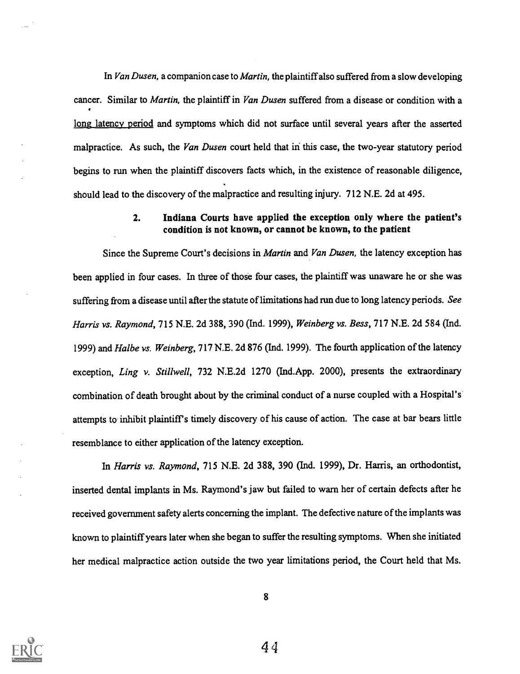In Van Dusen, a companion case to *Martin*, the plaintiff also suffered from a slow developing cancer. Similar to *Martin*, the plaintiff in *Van Dusen* suffered from a disease or condition with a long latency period and symptoms which did not surface until several years after the asserted malpractice. As such, the Van Dusen court held that in this case, the two-year statutory period begins to run when the plaintiff discovers facts which, in the existence of reasonable diligence, should lead to the discovery of the malpractice and resulting injury. 712 N.E. 2d at 495.

#### 2. Indiana Courts have applied the exception only where the patient's condition is not known, or cannot be known, to the patient

Since the Supreme Court's decisions in *Martin* and Van Dusen, the latency exception has been applied in four cases. In three of those four cases, the plaintiff was unaware he or she was suffering from a disease until after the statute of limitations had run due to long latency periods. See Harris vs. Raymond, 715 N.E. 2d 388, 390 (Ind. 1999), Weinberg vs. Bess, 717 N.E. 2d 584 (Ind. 1999) and Halbe vs. Weinberg, 717 N.E. 2d 876 (Ind. 1999). The fourth application of the latency exception, Ling v. Stillwell, 732 N.E.2d 1270 (Ind.App. 2000), presents the extraordinary combination of death brought about by the criminal conduct of a nurse coupled with a Hospital's attempts to inhibit plaintiff's timely discovery of his cause of action. The case at bar bears little resemblance to either application of the latency exception.

In Harris vs. Raymond, 715 N.E. 2d 388, 390 (Ind. 1999), Dr. Harris, an orthodontist, inserted dental implants in Ms. Raymond's jaw but failed to warn her of certain defects after he received government safety alerts concerning the implant. The defective nature of the implants was known to plaintiff years later when she began to suffer the resulting symptoms. When she initiated her medical malpractice action outside the two year limitations period, the Court held that Ms.

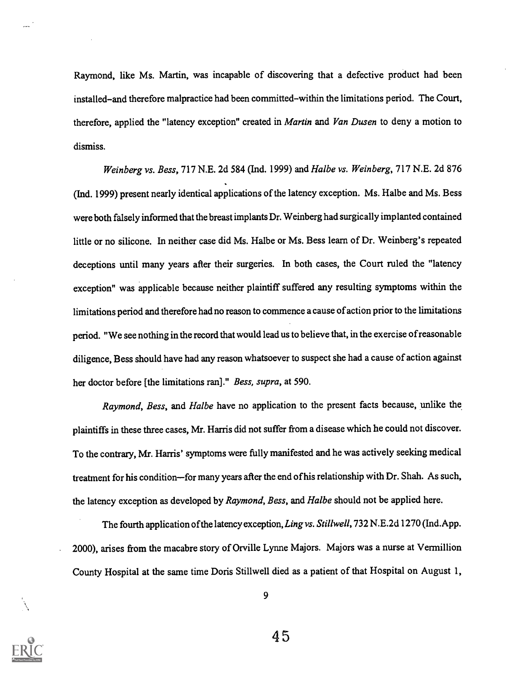Raymond, like Ms. Martin, was incapable of discovering that a defective product had been installed-and therefore malpractice had been committed-within the limitations period. The Court, therefore, applied the "latency exception" created in Martin and Van Dusen to deny a motion to dismiss.

Weinberg vs. Bess, 717 N.E. 2d 584 (Ind. 1999) and Halbe vs. Weinberg, 717 N.E. 2d 876 (Ind. 1999) present nearly identical applications of the latency exception. Ms. Halbe and Ms. Bess were both falsely informed that the breast implants Dr. Weinberg had surgically implanted contained little or no silicone. In neither case did Ms. Halbe or Ms. Bess learn of Dr. Weinberg's repeated deceptions until many years after their surgeries. In both cases, the Court ruled the "latency exception" was applicable because neither plaintiff suffered any resulting symptoms within the limitations period and therefore had no reason to commence a cause of action prior to the limitations period. "We see nothing in the record that would lead us to believe that, in the exercise of reasonable diligence, Bess should have had any reason whatsoever to suspect she had a cause of action against her doctor before [the limitations ran]." Bess, supra, at 590.

Raymond, Bess, and Halbe have no application to the present facts because, unlike the plaintiffs in these three cases, Mr. Harris did not suffer from a disease which he could not discover. To the contrary, Mr. Harris' symptoms were fully manifested and he was actively seeking medical treatment for his condition-for many years after the end of his relationship with Dr. Shah. As such, the latency exception as developed by Raymond, Bess, and Halbe should not be applied here.

The fourth application of the latency exception, Ling vs. Stillwell, 732 N.E.2d 1270 (Ind.App. 2000), arises from the macabre story of Orville Lynne Majors. Majors was a nurse at Vermillion County Hospital at the same time Doris Stillwell died as a patient of that Hospital on August 1,

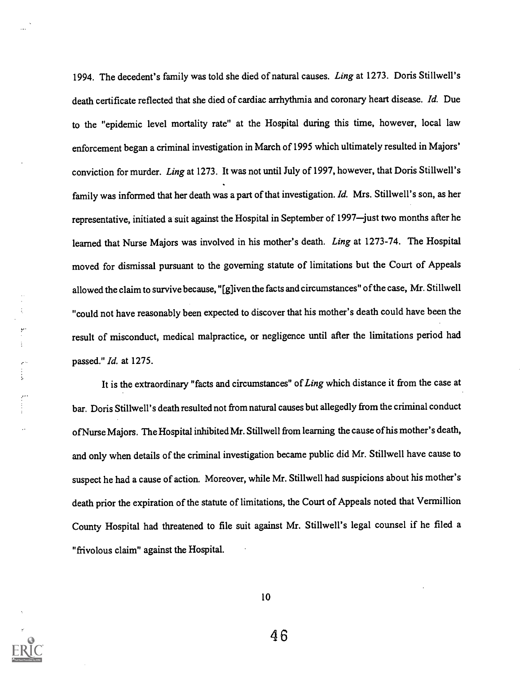1994. The decedent's family was told she died of natural causes. Ling at 1273. Doris Stillwell's death certificate reflected that she died of cardiac arrhythmia and coronary heart disease. Id. Due to the "epidemic level mortality rate" at the Hospital during this time, however, local law enforcement began a criminal investigation in March of 1995 which ultimately resulted in Majors' conviction for murder. Ling at 1273. It was not until July of 1997, however, that Doris Stillwell's family was informed that her death was a part of that investigation. Id. Mrs. Stillwell's son, as her representative, initiated a suit against the Hospital in September of 1997-just two months after he learned that Nurse Majors was involved in his mother's death. Ling at 1273-74. The Hospital moved for dismissal pursuant to the governing statute of limitations but the Court of Appeals allowed the claim to survive because, "[g] iven the facts and circumstances" of the case, Mr. Stillwell "could not have reasonably been expected to discover that his mother's death could have been the result of misconduct, medical malpractice, or negligence until after the limitations period had passed." Id. at 1275.

It is the extraordinary "facts and circumstances" of Ling which distance it from the case at bar. Doris Stillwell's death resulted not from natural causes but allegedly from the criminal conduct ofNurse Majors. The Hospital inhibited Mr. Stillwell from learning the cause of his mother's death, and only when details of the criminal investigation became public did Mr. Stillwell have cause to suspect he had a cause of action. Moreover, while Mr. Stillwell had suspicions about his mother's death prior the expiration of the statute of limitations, the Court of Appeals noted that Vermillion County Hospital had threatened to file suit against Mr. Stillwell's legal counsel if he filed a "frivolous claim" against the Hospital.



 $\begin{bmatrix} \mathbf{r}^{\prime} \\ \mathbf{r}^{\prime} \\ \mathbf{r}^{\prime} \end{bmatrix}$ 

 $\epsilon^{\mu}$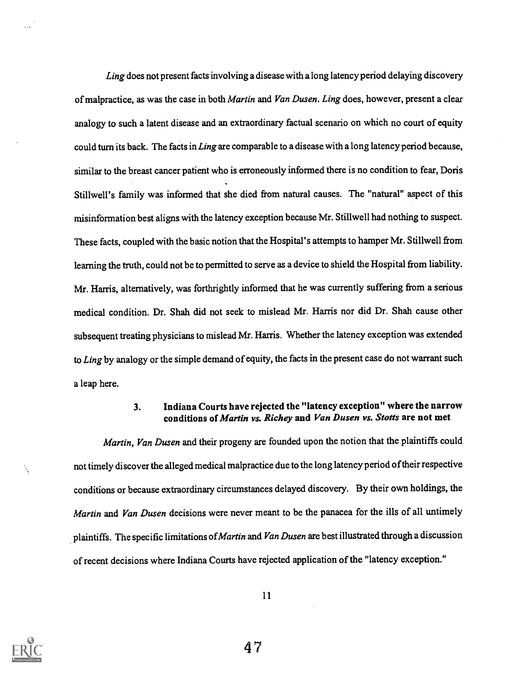Ling does not present facts involving a disease with a long latency period delaying discovery of malpractice, as was the case in both *Martin* and *Van Dusen. Ling* does, however, present a clear analogy to such a latent disease and an extraordinary factual scenario on which no court of equity could turn its back. The facts in Ling are comparable to a disease with a long latency period because, similar to the breast cancer patient who is erroneously informed there is no condition to fear, Doris Stillwell's family was informed that she died from natural causes. The "natural" aspect of this misinformation best aligns with the latency exception because Mr. Stillwell had nothing to suspect. These facts, coupled with the basic notion that the Hospital's attempts to hamper Mr. Stillwell from learning the truth, could not be to permitted to serve as a device to shield the Hospital from liability. Mr. Harris, alternatively, was forthrightly informed that he was currently suffering from a serious medical condition. Dr. Shah did not seek to mislead Mr. Harris nor did Dr. Shah cause other subsequent treating physicians to mislead Mr. Harris. Whether the latency exception was extended to Ling by analogy or the simple demand of equity, the facts in the present case do not warrant such a leap here.

# 3. Indiana Courts have rejected the "latency exception" where the narrow conditions of Martin vs. Richey and Van Dusen vs. Stotts are not met

Martin, Van Dusen and their progeny are founded upon the notion that the plaintiffs could not timely discover the alleged medical malpractice due to the long latency period oftheir respective conditions or because extraordinary circumstances delayed discovery. By their own holdings, the Martin and Van Dusen decisions were never meant to be the panacea for the ills of all untimely plaintiffs. The specific limitations of Martin and Van Dusen are best illustrated through a discussion of recent decisions where Indiana Courts have rejected application of the "latency exception."



 $\mathcal{N}_\mathrm{c}$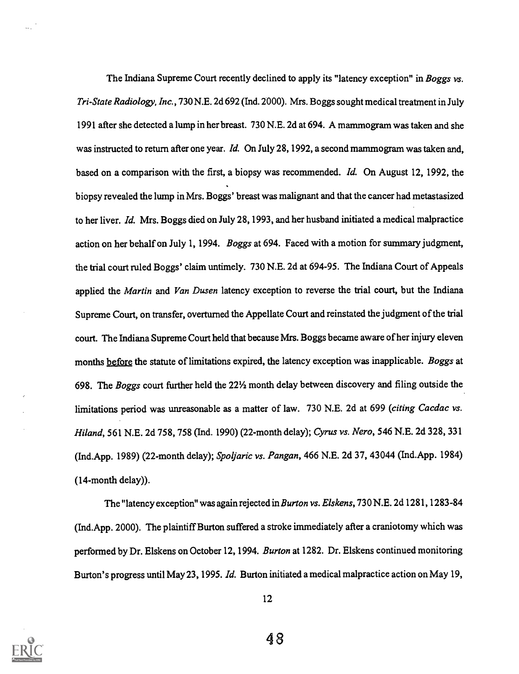The Indiana Supreme Court recently declined to apply its "latency exception" in Boggs vs. Tri-State Radiology, Inc., 730 N.E. 2d 692 (Ind. 2000). Mrs. Boggs sought medical treatment in July 1991 after she detected a lump in her breast. 730 N.E. 2d at 694. A mammogram was taken and she was instructed to return after one year. Id. On July 28, 1992, a second mammogram was taken and, based on a comparison with the first, a biopsy was recommended. Id. On August 12, 1992, the biopsy revealed the lump in Mrs. Boggs' breast was malignant and that the cancer had metastasized to her liver. Id. Mrs. Boggs died on July 28, 1993, and her husband initiated a medical malpractice action on her behalf on July 1, 1994. Boggs at 694. Faced with a motion for summary judgment, the trial court ruled Boggs' claim untimely. 730 N.E. 2d at 694-95. The Indiana Court of Appeals applied the Martin and Van Dusen latency exception to reverse the trial court, but the Indiana Supreme Court, on transfer, overturned the Appellate Court and reinstated the judgment of the trial court. The Indiana Supreme Court held that because Mrs. Boggs became aware of her injury eleven months before the statute of limitations expired, the latency exception was inapplicable. Boggs at 698. The Boggs court further held the 22'/2 month delay between discovery and filing outside the limitations period was unreasonable as a matter of law. 730 N.E. 2d at 699 (citing Cacdac vs. Hiland, 561 N.E. 2d 758, 758 (Ind. 1990) (22-month delay); Cyrus vs. Nero, 546 N.E. 2d 328, 331 (Ind.App. 1989) (22-month delay); Spoljaric vs. Pangan, 466 N.E. 2d 37, 43044 (Ind.App. 1984) (14-month delay)).

The "latency exception" was again rejected in Burton vs. Elskens, 730 N.E. 2d 1281, 1283-84 (Ind.App. 2000). The plaintiff Burton suffered a stroke immediately after a craniotomy which was performed by Dr. Elskens on October 12, 1994. Burton at 1282. Dr. Elskens continued monitoring Burton's progress until May 23, 1995. Id. Burton initiated a medical malpractice action on May 19,

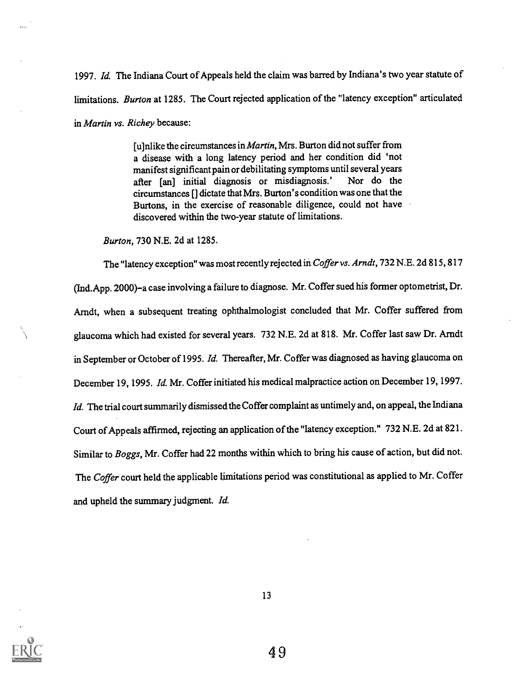1997. Id. The Indiana Court of Appeals held the claim was barred by Indiana's two year statute of limitations. Burton at 1285. The Court rejected application of the "latency exception" articulated in Martin vs. Richey because:

> [u]nlike the circumstances in *Martin*, Mrs. Burton did not suffer from a disease with a long latency period and her condition did 'not manifest significant pain or debilitating symptoms until several years<br>after [an] initial diagnosis or misdiagnosis.' Nor do the after [an] initial diagnosis or misdiagnosis.' circumstances [] dictate that Mrs. Burton's condition was one that the Burtons, in the exercise of reasonable diligence, could not have discovered within the two-year statute of limitations.

Burton, 730 N.E. 2d at 1285.

The "latency exception" was most recently rejected in Coffer vs. Arndt, 732 N.E. 2d 815, 817 (Ind.App. 2000)-a case involving a failure to diagnose. Mr. Coffer sued his former optometrist, Dr. Arndt, when a subsequent treating ophthalmologist concluded that Mr. Coffer suffered from glaucoma which had existed for several years. 732 N.E. 2d at 818. Mr. Coffer last saw Dr. Arndt in September or October of 1995. Id. Thereafter, Mr. Coffer was diagnosed as having glaucoma on December 19, 1995. Id. Mr. Coffer initiated his medical malpractice action on December 19, 1997. Id. The trial court summarily dismissed the Coffer complaint as untimely and, on appeal, the Indiana Court of Appeals affirmed, rejecting an application of the "latency exception." 732 N.E. 2d at 821. Similar to Boggs, Mr. Coffer had 22 months within which to bring his cause of action, but did not. The Coffer court held the applicable limitations period was constitutional as applied to Mr. Coffer and upheld the summary judgment. Id.

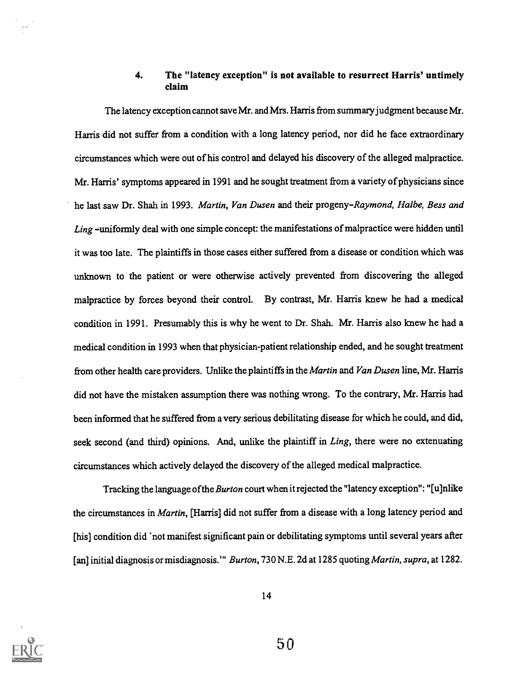### 4. The "latency exception" is not available to resurrect Harris' untimely claim

The latency exception cannot save Mr. and Mrs. Harris from summary judgment because Mr. Harris did not suffer from a condition with a long latency period, nor did he face extraordinary circumstances which were out of his control and delayed his discovery of the alleged malpractice. Mr. Harris' symptoms appeared in 1991 and he sought treatment from a variety of physicians since he last saw Dr. Shah in 1993. Martin, Van Dusen and their progeny-Raymond, Halbe, Bess and Ling -uniformly deal with one simple concept: the manifestations of malpractice were hidden until it was too late. The plaintiffs in those cases either suffered from a disease or condition which was unknown to the patient or were otherwise actively prevented from discovering the alleged malpractice by forces beyond their control. By contrast, Mr. Harris knew he had a medical condition in 1991. Presumably this is why he went to Dr. Shah. Mr. Harris also knew he had a medical condition in 1993 when that physician-patient relationship ended, and he sought treatment from other health care providers. Unlike the plaintiffs in the Martin and Van Dusen line, Mr. Harris did not have the mistaken assumption there was nothing wrong. To the contrary, Mr. Harris had been informed that he suffered from a very serious debilitating disease for which he could, and did, seek second (and third) opinions. And, unlike the plaintiff in Ling, there were no extenuating circumstances which actively delayed the discovery of the alleged medical malpractice.

Tracking the language of the Burton court when it rejected the "latency exception": "[u]nlike the circumstances in Martin, [Harris] did not suffer from a disease with a long latency period and [his] condition did 'not manifest significant pain or debilitating symptoms until several years after [an] initial diagnosis or misdiagnosis.'" Burton, 730 N.E. 2d at 1285 quoting Martin, supra, at 1282.

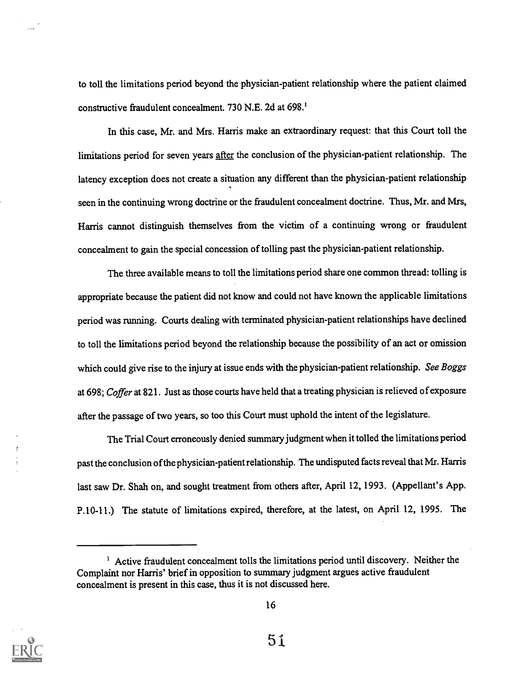to toll the limitations period beyond the physician-patient relationship where the patient claimed constructive fraudulent concealment. 730 N.E. 2d at 698.'

In this case, Mr. and Mrs. Harris make an extraordinary request: that this Court toll the limitations period for seven years after the conclusion of the physician-patient relationship. The latency exception does not create a situation any different than the physician-patient relationship seen in the continuing wrong doctrine or the fraudulent concealment doctrine. Thus, Mr. and Mrs, Harris cannot distinguish themselves from the victim of a continuing wrong or fraudulent concealment to gain the special concession of tolling past the physician-patient relationship.

The three available means to toll the limitations period share one common thread: tolling is appropriate because the patient did not know and could not have known the applicable limitations period was running. Courts dealing with terminated physician-patient relationships have declined to toll the limitations period beyond the relationship because the possibility of an act or omission which could give rise to the injury at issue ends with the physician-patient relationship. See Boggs at 698; Coffer at 821. Just as those courts have held that a treating physician is relieved of exposure after the passage of two years, so too this Court must uphold the intent of the legislature.

The Trial Court erroneously denied summary judgment when it tolled the limitations period past the conclusion of the physician-patient relationship. The undisputed facts reveal that Mr. Harris last saw Dr. Shah on, and sought treatment from others after, April 12, 1993. (Appellant's App. P.10-11.) The statute of limitations expired, therefore, at the latest, on April 12, 1995. The



 $\ddotsc$ 

<sup>&</sup>lt;sup>1</sup> Active fraudulent concealment tolls the limitations period until discovery. Neither the Complaint nor Harris' brief in opposition to summary judgment argues active fraudulent concealment is present in this case, thus it is not discussed here.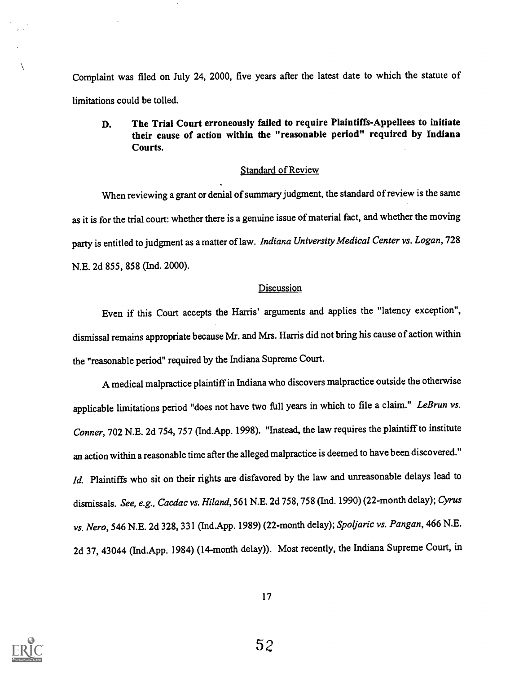Complaint was filed on July 24, 2000, five years after the latest date to which the statute of limitations could be tolled.

### D. The Trial Court erroneously failed to require Plaintiffs-Appellees to initiate their cause of action within the "reasonable period" required by Indiana Courts.

#### Standard of Review

When reviewing a grant or denial of summary judgment, the standard of review is the same as it is for the trial court: whether there is a genuine issue of material fact, and whether the moving party is entitled to judgment as a matter of law. Indiana University Medical Center vs. Logan, 728 N.E. 2d 855, 858 (Ind. 2000).

#### **Discussion**

Even if this Court accepts the Harris' arguments and applies the "latency exception", dismissal remains appropriate because Mr. and Mrs. Harris did not bring his cause of action within the "reasonable period" required by the Indiana Supreme Court.

A medical malpractice plaintiff in Indiana who discovers malpractice outside the otherwise applicable limitations period "does not have two full years in which to file a claim." LeBrun vs. Conner, 702 N.E. 2d 754, 757 (Ind.App. 1998). "Instead, the law requires the plaintiff to institute an action within a reasonable time after the alleged malpractice is deemed to have been discovered." Id. Plaintiffs who sit on their rights are disfavored by the law and unreasonable delays lead to dismissals. See, e.g., Cacdac vs. Hiland, 561 N.E. 2d 758, 758 (Ind. 1990) (22-month delay); Cyrus vs. Nero, 546 N.E. 2d 328, 331 (Ind.App. 1989) (22-month delay); Spoljaric vs. Pangan, 466 N.E. 2d 37, 43044 (Ind.App. 1984) (14-month delay)). Most recently, the Indiana Supreme Court, in



N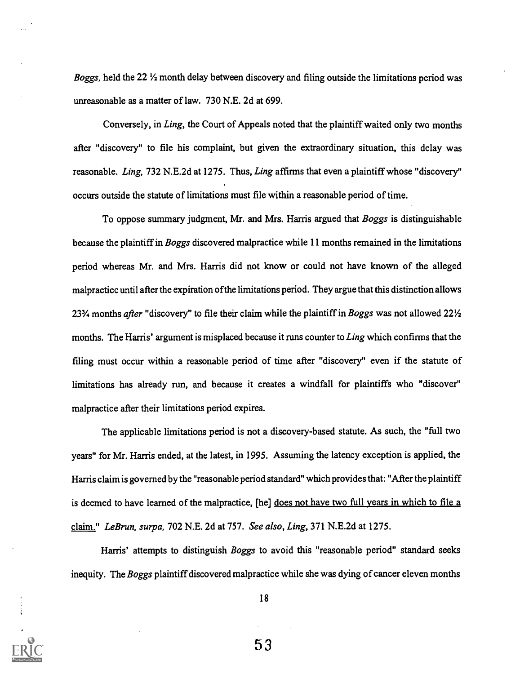Boggs, held the  $22 \frac{1}{2}$  month delay between discovery and filing outside the limitations period was unreasonable as a matter of law. 730 N.E. 2d at 699.

Conversely, in Ling, the Court of Appeals noted that the plaintiff waited only two months after "discovery" to file his complaint, but given the extraordinary situation, this delay was reasonable. Ling, 732 N.E.2d at 1275. Thus, Ling affirms that even a plaintiff whose "discovery" occurs outside the statute of limitations must file within a reasonable period of time.

To oppose summary judgment, Mr. and Mrs. Harris argued that *Boggs* is distinguishable because the plaintiff in Boggs discovered malpractice while 11 months remained in the limitations period whereas Mr. and Mrs. Harris did not know or could not have known of the alleged malpractice until after the expiration of the limitations period. They argue that this distinction allows 23<sup>3</sup>/4 months *after* "discovery" to file their claim while the plaintiff in Boggs was not allowed 22<sup>1/2</sup> months. The Harris' argument is misplaced because it runs counter to Ling which confirms that the filing must occur within a reasonable period of time after "discovery" even if the statute of limitations has already run, and because it creates a windfall for plaintiffs who "discover" malpractice after their limitations period expires.

The applicable limitations period is not a discovery-based statute. As such, the "full two years" for Mr. Harris ended, at the latest, in 1995. Assuming the latency exception is applied, the Harris claim is governed by the "reasonable period standard" which provides that: "After the plaintiff is deemed to have learned of the malpractice, [he] does not have two full years in which to file a claim." LeBrun, surpa, 702 N.E. 2d at 757. See also, Ling, 371 N.E.2d at 1275.

Harris' attempts to distinguish Boggs to avoid this "reasonable period" standard seeks inequity. The Boggs plaintiff discovered malpractice while she was dying of cancer eleven months

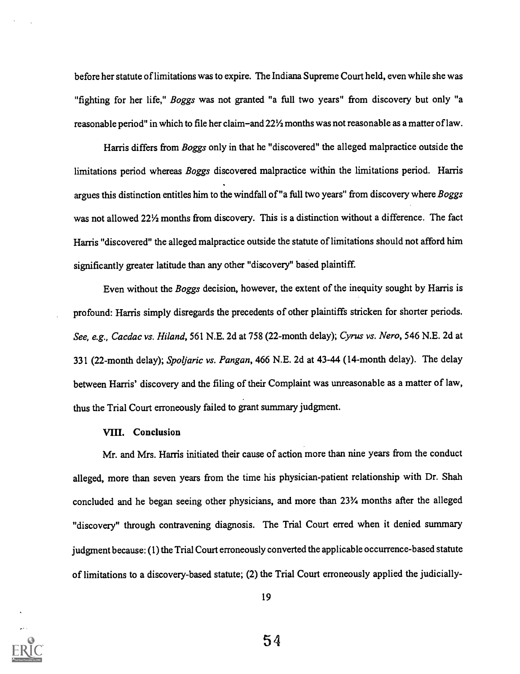before her statute of limitations was to expire. The Indiana Supreme Court held, even while she was "fighting for her life," *Boggs* was not granted "a full two years" from discovery but only "a reasonable period" in which to file her claim-and 22½ months was not reasonable as a matter of law.

Harris differs from Boggs only in that he "discovered" the alleged malpractice outside the limitations period whereas Boggs discovered malpractice within the limitations period. Harris argues this distinction entitles him to the windfall of "a full two years" from discovery where Boggs was not allowed 22<sup>1</sup>/<sub>2</sub> months from discovery. This is a distinction without a difference. The fact Harris "discovered" the alleged malpractice outside the statute of limitations should not afford him significantly greater latitude than any other "discovery" based plaintiff.

Even without the Boggs decision, however, the extent of the inequity sought by Harris is profound: Harris simply disregards the precedents of other plaintiffs stricken for shorter periods. See, e.g., Cacdac vs. Hiland, 561 N.E. 2d at 758 (22-month delay); Cyrus vs. Nero, 546 N.E. 2d at 331 (22-month delay); Spoljaric vs. Pangan, 466 N.E. 2d at 43-44 (14-month delay). The delay between Harris' discovery and the filing of their Complaint was unreasonable as a matter of law, thus the Trial Court erroneously failed to grant summary judgment.

#### VIII. Conclusion

Mr. and Mrs. Harris initiated their cause of action more than nine years from the conduct alleged, more than seven years from the time his physician-patient relationship with Dr. Shah concluded and he began seeing other physicians, and more than 23% months after the alleged "discovery" through contravening diagnosis. The Trial Court erred when it denied summary judgment because: (1) the Trial Court erroneously converted the applicable occurrence-based statute of limitations to a discovery-based statute; (2) the Trial Court erroneously applied the judicially-

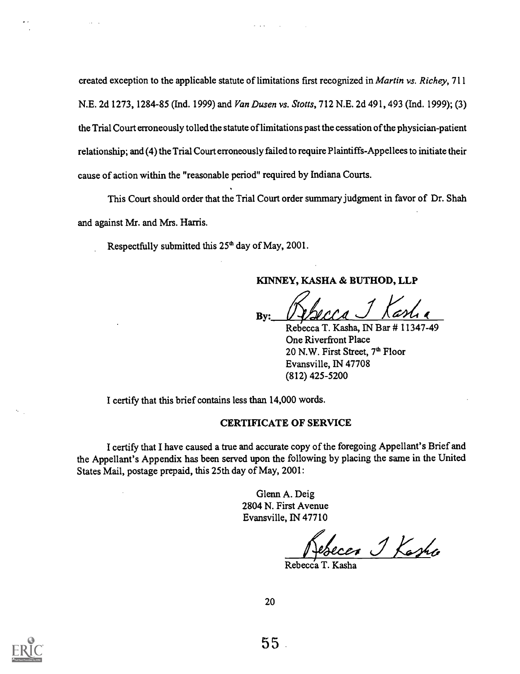created exception to the applicable statute of limitations first recognized in Martin vs. Richey, 711 N.E. 2d 1273, 1284-85 (Ind. 1999) and Van Dusen vs. Stotts, 712 N.E. 2d 491, 493 (Ind. 1999); (3) the Trial Court erroneously tolled the statute of limitations past the cessation of the physician-patient relationship; and (4) the Trial Court erroneously failed to require Plaintiffs-Appellees to initiate their cause of action within the "reasonable period" required by Indiana Courts.

 $\sim 100$ 

This Court should order that the Trial Court order summary judgment in favor of Dr. Shah and against Mr. and Mrs. Harris.

Respectfully submitted this 25<sup>th</sup> day of May, 2001.

#### KINNEY, KASHA & BUTHOD, LLP

By:

Rebecca T. Kasha, IN Bar # 11347-49 One Riverfront Place 20 N.W. First Street, 7<sup>th</sup> Floor Evansville, IN 47708 (812) 425-5200

I certify that this brief contains less than 14,000 words.

#### CERTIFICATE OF SERVICE

I certify that I have caused a true and accurate copy of the foregoing Appellant's Brief and the Appellant's Appendix has been served upon the following by placing the same in the United States Mail, postage prepaid, this 25th day of May, 2001:

> Glenn A. Deig 2804 N. First Avenue Evansville, IN 47710

Rebecca J Kasha

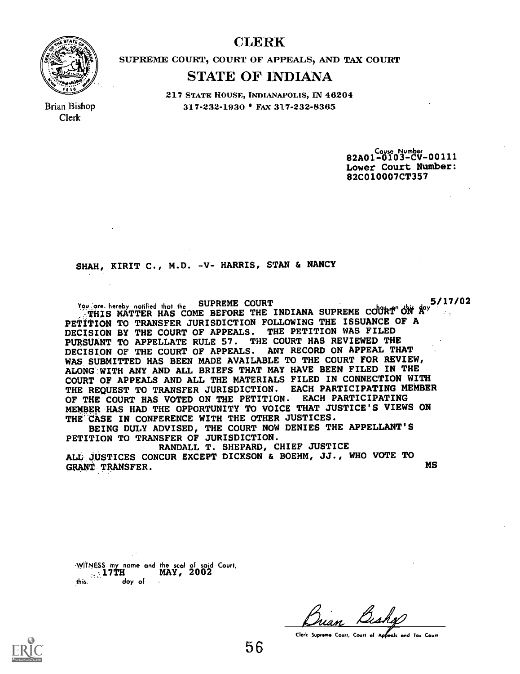# CLERK



Brian Bishop Clerk

SUPREME COURT, COURT OF APPEALS, AND TAX COURT

# STATE OF INDIANA

217 STATE HOUSE, INDIANAPOLIS, IN 46204 317-232-1930 • FAX 317-232-8365

> 82A01-0103-CV-00111 Lower Court Number: 82C010007CT357

SHAH, KIRIT C., M.D. -V- HARRIS, STAN & NANCY

You, are, hereby notified that the SUPREME COURT  $\frac{5/17/02}{2}$  $\frac{1}{2}$ THIS MATTER HAS COME BEFORE THE INDIANA SUPREME COURT ON  $A^{cy}$ PETITION TO TRANSFER JURISDICTION FOLLOWING THE ISSUANCE OF A DECISION BY THE COURT OF APPEALS. THE PETITION WAS FILED PURSUANT TO APPELLATE RULE 57. THE COURT HAS REVIEWED THE DECISION OF THE COURT OF APPEALS. ANY RECORD ON APPEAL THAT WAS SUBMITTED HAS BEEN MADE AVAILABLE TO THE COURT FOR REVIEW, ALONG': WITH ANY AND ALL BRIEFS THAT MAY HAVE BEEN FILED IN THE COURT OF APPEALS AND ALL THE MATERIALS FILED IN CONNECTION WITH THE REQUEST TO TRANSFER JURISDICTION. EACH PARTICIPATING MEMBER OF THE COURT HAS VOTED ON THE PETITION. EACH PARTICIPATING MEMBER HAS HAD THE OPPORTUNITY TO VOICE THAT JUSTICE'S VIEWS ON THE CASE IN CONFERENCE WITH THE OTHER JUSTICES.

BEING DULY ADVISED, THE COURT NOW DENIES THE APPELLANT'S PETITION TO TRANSFER OF JURISDICTION.

RANDALL T. SHEPARD, CHIEF JUSTICE ALL JUSTICES CONCUR EXCEPT DICKSON & BOEHM, JJ., WHO VOTE TO MS GRANT TRANSFER.

WITNESS my name and the seal of said Court,  $17T$ H  $\frac{1}{\frac{1}{2}}$  and  $\frac{1}{2}$  and  $\frac{1}{2}$  day of day of

Clerk Supreme Court. Court of Appeals and Tax Court

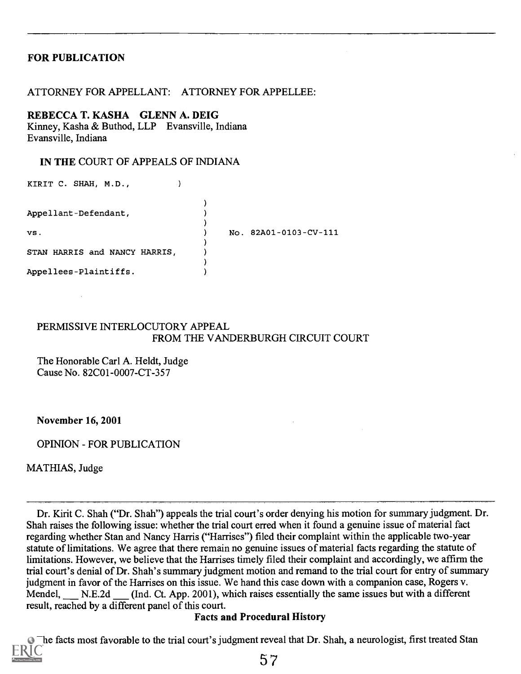# FOR PUBLICATION

### ATTORNEY FOR APPELLANT: ATTORNEY FOR APPELLEE:

#### REBECCA T. KASHA GLENN A. DEIG

Kinney, Kasha & Buthod, LLP Evansville, Indiana Evansville, Indiana

#### IN THE COURT OF APPEALS OF INDIANA

| KIRIT C. SHAH, M.D.,          |  |                       |
|-------------------------------|--|-----------------------|
| Appellant-Defendant,          |  |                       |
|                               |  |                       |
| vs.                           |  | No. 82A01-0103-CV-111 |
| STAN HARRIS and NANCY HARRIS, |  |                       |
| Appellees-Plaintiffs.         |  |                       |

### PERMISSIVE INTERLOCUTORY APPEAL FROM THE VANDERBURGH CIRCUIT COURT

The Honorable Carl A. Heldt, Judge Cause No. 82C01-0007-CT-357

November 16, 2001

OPINION - FOR PUBLICATION

MATHIAS, Judge

Dr. Kirit C. Shah ("Dr. Shah") appeals the trial court's order denying his motion for summary judgment. Dr. Shah raises the following issue: whether the trial court erred when it found a genuine issue of material fact regarding whether Stan and Nancy Harris ("Harrises") filed their complaint within the applicable two-year statute of limitations. We agree that there remain no genuine issues of material facts regarding the statute of limitations. However, we believe that the Harrises timely filed their complaint and accordingly, we affirm the trial court's denial of Dr. Shah's summary judgment motion and remand to the trial court for entry of summary judgment in favor of the Harrises on this issue. We hand this case down with a companion case, Rogers v. Mendel, N.E.2d (Ind. Ct. App. 2001), which raises essentially the same issues but with a different result, reached by a different panel of this court.

### Facts and Procedural History

The facts most favorable to the trial court's judgment reveal that Dr. Shah, a neurologist, first treated Stan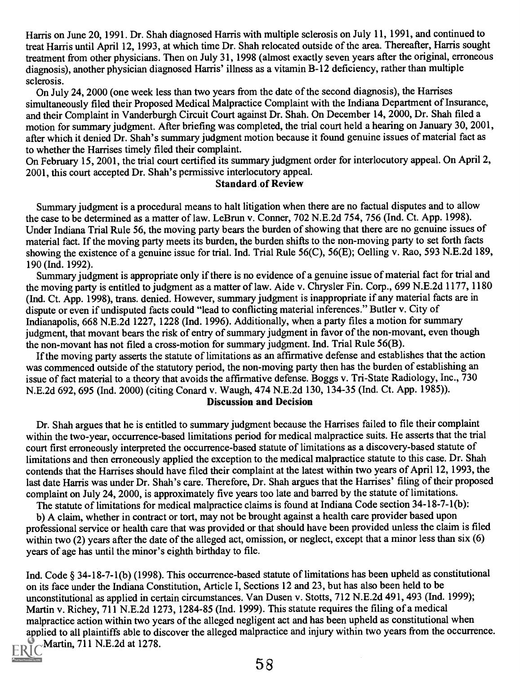Harris on June 20, 1991. Dr. Shah diagnosed Harris with multiple sclerosis on July 11, 1991, and continued to treat Harris until April 12, 1993, at which time Dr. Shah relocated outside of the area. Thereafter, Harris sought treatment from other physicians. Then on July 31, 1998 (almost exactly seven years after the original, erroneous diagnosis), another physician diagnosed Harris' illness as a vitamin B-12 deficiency, rather than multiple sclerosis.

On July 24, 2000 (one week less than two years from the date of the second diagnosis), the Harrises simultaneously filed their Proposed Medical Malpractice Complaint with the Indiana Department of Insurance, and their Complaint in Vanderburgh Circuit Court against Dr. Shah. On December 14, 2000, Dr. Shah filed a motion for summary judgment. After briefing was completed, the trial court held a hearing on January 30, 2001, after which it denied Dr. Shah's summary judgment motion because it found genuine issues of material fact as to whether the Harrises timely filed their complaint.

On February 15, 2001, the trial court certified its summary judgment order for interlocutory appeal. On April 2, 2001, this court accepted Dr. Shah's permissive interlocutory appeal.

#### Standard of Review

Summary judgment is a procedural means to halt litigation when there are no factual disputes and to allow the case to be determined as a matter of law. LeBrun v. Conner, 702 N.E.2d 754, 756 (Ind. Ct. App. 1998). Under Indiana Trial Rule 56, the moving party bears the burden of showing that there are no genuine issues of material fact. If the moving party meets its burden, the burden shifts to the non-moving party to set forth facts showing the existence of a genuine issue for trial. Ind. Trial Rule 56(C), 56(E); Oelling v. Rao, 593 N.E.2d 189, 190 (Ind. 1992).

Summary judgment is appropriate only if there is no evidence of a genuine issue of material fact for trial and the moving party is entitled to judgment as a matter of law. Aide v. Chrysler Fin. Corp., 699 N.E.2d 1177, 1180 (Ind. Ct. App. 1998), trans. denied. However, summary judgment is inappropriate if any material facts are in dispute or even if undisputed facts could "lead to conflicting material inferences." Butler v. City of Indianapolis, 668 N.E.2d 1227, 1228 (Ind. 1996). Additionally, when a party files a motion for summary judgment, that movant bears the risk of entry of summary judgment in favor of the non-movant, even though the non-movant has not filed a cross-motion for summary judgment. Ind. Trial Rule 56(B).

If the moving party asserts the statute of limitations as an affirmative defense and establishes that the action was commenced outside of the statutory period, the non-moving party then has the burden of establishing an issue of fact material to a theory that avoids the affirmative defense. Boggs v. Tri-State Radiology, Inc., 730 N.E.2d 692, 695 (Ind. 2000) (citing Conard v. Waugh, 474 N.E.2d 130, 134-35 (Ind. Ct. App. 1985)).

#### Discussion and Decision

Dr. Shah argues that he is entitled to summary judgment because the Harrises failed to file their complaint within the two-year, occurrence-based limitations period for medical malpractice suits. He asserts that the trial court first erroneously interpreted the occurrence-based statute of limitations as a discovery-based statute of limitations and then erroneously applied the exception to the medical malpractice statute to this case. Dr. Shah contends that the Harrises should have filed their complaint at the latest within two years of April 12, 1993, the last date Harris was under Dr. Shah's care. Therefore, Dr. Shah argues that the Harrises' filing of their proposed complaint on July 24, 2000, is approximately five years too late and barred by the statute of limitations.

The statute of limitations for medical malpractice claims is found at Indiana Code section 34-18-7-1(b):

b) A claim, whether in contract or tort, may not be brought against a health care provider based upon professional service or health care that was provided or that should have been provided unless the claim is filed within two (2) years after the date of the alleged act, omission, or neglect, except that a minor less than six (6) years of age has until the minor's eighth birthday to file.

Ind. Code § 34-18-7-1(b) (1998). This occurrence-based statute of limitations has been upheld as constitutional on its face under the Indiana Constitution, Article I, Sections 12 and 23, but has also been held to be unconstitutional as applied in certain circumstances. Van Dusen v. Stotts, 712 N.E.2d 491, 493 (Ind. 1999); Martin v. Richey, 711 N.E.2d 1273, 1284-85 (Ind. 1999). This statute requires the filing of a medical malpractice action within two years of the alleged negligent act and has been upheld as constitutional when applied to all plaintiffs able to discover the alleged malpractice and injury within two years from the occurrence.  $ERIC$ Martin, 711 N.E.2d at 1278.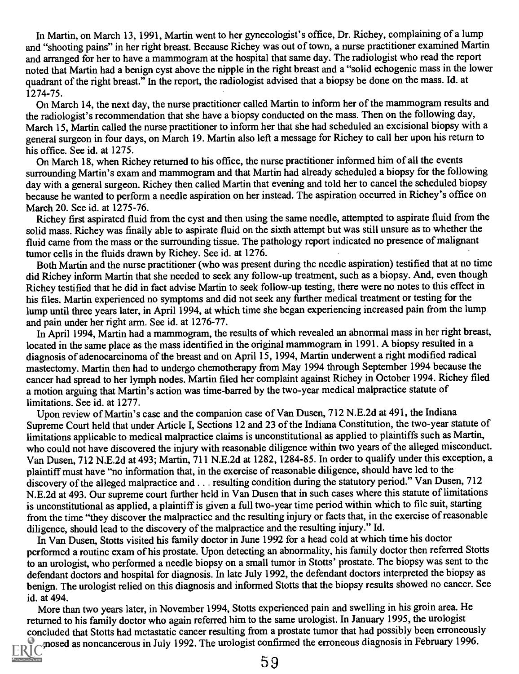In Martin, on March 13, 1991, Martin went to her gynecologist's office, Dr. Richey, complaining of a lump and "shooting pains" in her right breast. Because Richey was out of town, a nurse practitioner examined Martin and arranged for her to have a mammogram at the hospital that same day. The radiologist who read the report noted that Martin had a benign cyst above the nipple in the right breast and a "solid echogenic mass in the lower quadrant of the right breast." In the report, the radiologist advised that a biopsy be done on the mass. Id. at 1274-75.

On March 14, the next day, the nurse practitioner called Martin to inform her of the mammogram results and the radiologist's recommendation that she have a biopsy conducted on the mass. Then on the following day, March 15, Martin called the nurse practitioner to inform her that she had scheduled an excisional biopsy with a general surgeon in four days, on March 19. Martin also left a message for Richey to call her upon his return to his office. See id. at 1275.

On March 18, when Richey returned to his office, the nurse practitioner informed him of all the events surrounding Martin's exam and mammogram and that Martin had already scheduled a biopsy for the following day with a general surgeon. Richey then called Martin that evening and told her to cancel the scheduled biopsy because he wanted to perform a needle aspiration on her instead. The aspiration occurred in Richey's office on March 20. See id. at 1275-76.

Richey first aspirated fluid from the cyst and then using the same needle, attempted to aspirate fluid from the solid mass. Richey was finally able to aspirate fluid on the sixth attempt but was still unsure as to whether the fluid came from the mass or the surrounding tissue. The pathology report indicated no presence of malignant tumor cells in the fluids drawn by Richey. See id. at 1276.

Both Martin and the nurse practitioner (who was present during the needle aspiration) testified that at no time did Richey inform Martin that she needed to seek any follow-up treatment, such as a biopsy. And, even though Richey testified that he did in fact advise Martin to seek follow-up testing, there were no notes to this effect in his files. Martin experienced no symptoms and did not seek any further medical treatment or testing for the lump until three years later, in April 1994, at which time she began experiencing increased pain from the lump and pain under her right arm. See id. at 1276-77.

In April 1994, Martin had a mammogram, the results of which revealed an abnormal mass in her right breast, located in the same place as the mass identified in the original mammogram in 1991. A biopsy resulted in a diagnosis of adenocarcinoma of the breast and on April 15, 1994, Martin underwent a right modified radical mastectomy. Martin then had to undergo chemotherapy from May 1994 through September 1994 because the cancer had spread to her lymph nodes. Martin filed her complaint against Richey in October 1994. Richey filed a motion arguing that Martin's action was time-barred by the two-year medical malpractice statute of limitations. See id. at 1277.

Upon review of Martin's case and the companion case of Van Dusen, 712 N.E.2d at 491, the Indiana Supreme Court held that under Article I, Sections 12 and 23 of the Indiana Constitution, the two-year statute of limitations applicable to medical malpractice claims is unconstitutional as applied to plaintiffs such as Martin, who could not have discovered the injury with reasonable diligence within two years of the alleged misconduct. Van Dusen, 712 N.E.2d at 493; Martin, 711 N.E.2d at 1282, 1284-85. In order to qualify under this exception, a plaintiff must have "no information that, in the exercise of reasonable diligence, should have led to the discovery of the alleged malpractice and . . . resulting condition during the statutory period." Van Dusen, 712 N.E.2d at 493. Our supreme court further held in Van Dusen that in such cases where this statute of limitations is unconstitutional as applied, a plaintiff is given a full two-year time period within which to file suit, starting from the time "they discover the malpractice and the resulting injury or facts that, in the exercise of reasonable diligence, should lead to the discovery of the malpractice and the resulting injury." Id.

In Van Dusen, Stotts visited his family doctor in June 1992 for a head cold at which time his doctor performed a routine exam of his prostate. Upon detecting an abnormality, his family doctor then referred Stotts to an urologist, who performed a needle biopsy on a small tumor in Stotts' prostate. The biopsy was sent to the defendant doctors and hospital for diagnosis. In late July 1992, the defendant doctors interpreted the biopsy as benign. The urologist relied on this diagnosis and informed Stotts that the biopsy results showed no cancer. See id. at 494.

More than two years later, in November 1994, Stotts experienced pain and swelling in his groin area. He returned to his family doctor who again referred him to the same urologist. In January 1995, the urologist concluded that Stotts had metastatic cancer resulting from a prostate tumor that had possibly been erroneously mosed as noncancerous in July 1992. The urologist confirmed the erroneous diagnosis in February 1996.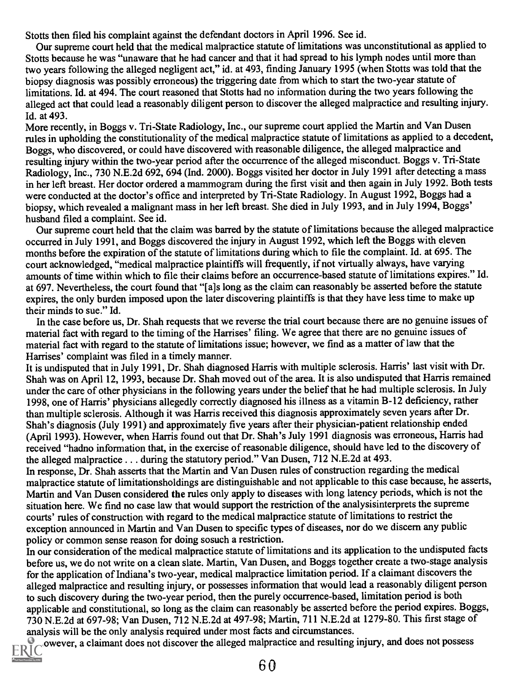Stotts then filed his complaint against the defendant doctors in April 1996. See id.

Our supreme court held that the medical malpractice statute of limitations was unconstitutional as applied to Stotts because he was "unaware that he had cancer and that it had spread to his lymph nodes until more than two years following the alleged negligent act," id. at 493, finding January 1995 (when Stotts was told that the biopsy diagnosis was possibly erroneous) the triggering date from which to start the two-year statute of limitations. Id. at 494. The court reasoned that Stotts had no information during the two years following the alleged act that could lead a reasonably diligent person to discover the alleged malpractice and resulting injury. Id. at 493.

More recently, in Boggs v. Tri-State Radiology, Inc., our supreme court applied the Martin and Van Dusen rules in upholding the constitutionality of the medical malpractice statute of limitations as applied to a decedent, Boggs, who discovered, or could have discovered with reasonable diligence, the alleged malpractice and resulting injury within the two-year period after the occurrence of the alleged misconduct. Boggs v. Tri-State Radiology, Inc., 730 N.E.2d 692, 694 (Ind. 2000). Boggs visited her doctor in July 1991 after detecting a mass in her left breast. Her doctor ordered a mammogram during the first visit and then again in July 1992. Both tests were conducted at the doctor's office and interpreted by Tri-State Radiology. In August 1992, Boggs had a biopsy, which revealed a malignant mass in her left breast. She died in July 1993, and in July 1994, Boggs' husband filed a complaint. See id.

Our supreme court held that the claim was barred by the statute of limitations because the alleged malpractice occurred in July 1991, and Boggs discovered the injury in August 1992, which left the Boggs with eleven months before the expiration of the statute of limitations during which to file the complaint. Id. at 695. The court acknowledged, "medical malpractice plaintiffs will frequently, if not virtually always, have varying amounts of time within which to file their claims before an occurrence-based statute of limitations expires." Id. at 697. Nevertheless, the court found that "[a]s long as the claim can reasonably be asserted before the statute expires, the only burden imposed upon the later discovering plaintiffs is that they have less time to make up their minds to sue." Id.

In the case before us, Dr. Shah requests that we reverse the trial court because there are no genuine issues of material fact with regard to the timing of the Harrises' filing. We agree that there are no genuine issues of material fact with regard to the statute of limitations issue; however, we find as a matter of law that the Harrises' complaint was filed in a timely manner.

It is undisputed that in July 1991, Dr. Shah diagnosed Harris with multiple sclerosis. Harris' last visit with Dr. Shah was on April 12, 1993, because Dr. Shah moved out of the area. It is also undisputed that Harris remained under the care of other physicians in the following years under the belief that he had multiple sclerosis. In July 1998, one of Harris' physicians allegedly correctly diagnosed his illness as a vitamin B-12 deficiency, rather than multiple sclerosis. Although it was Harris received this diagnosis approximately seven years after Dr. Shah's diagnosis (July 1991) and approximately five years after their physician-patient relationship ended (April 1993). However, when Harris found out that Dr. Shah's July 1991 diagnosis was erroneous, Harris had received "hadno information that, in the exercise of reasonable diligence, should have led to the discovery of the alleged malpractice . . . during the statutory period." Van Dusen, 712 N.E.2d at 493.

In response, Dr. Shah asserts that the Martin and Van Dusen rules of construction regarding the medical malpractice statute of limitationsholdings are distinguishable and not applicable to this case because, he asserts, Martin and Van Dusen considered the rules only apply to diseases with long latency periods, which is not the situation here. We find no case law that would support the restriction of the analysisinterprets the supreme courts' rules of construction with regard to the medical malpractice statute of limitations to restrict the exception announced in Martin and Van Dusen to specific types of diseases, nor do we discern any public policy or common sense reason for doing sosuch a restriction.

In our consideration of the medical malpractice statute of limitations and its application to the undisputed facts before us, we do not write on a clean slate. Martin, Van Dusen, and Boggs together create a two-stage analysis for the application of Indiana's two-year, medical malpractice limitation period. If a claimant discovers the alleged malpractice and resulting injury, or possesses information that would lead a reasonably diligent person to such discovery during the two-year period, then the purely occurrence-based, limitation period is both applicable and constitutional, so long as the claim can reasonably be asserted before the period expires. Boggs, 730 N.E.2d at 697-98; Van Dusen, 712 N.E.2d at 497-98; Martin, 711 N.E.2d at 1279-80. This first stage of analysis will be the only analysis required under most facts and circumstances.

ERIC owever, a claimant does not discover the alleged malpractice and resulting injury, and does not possess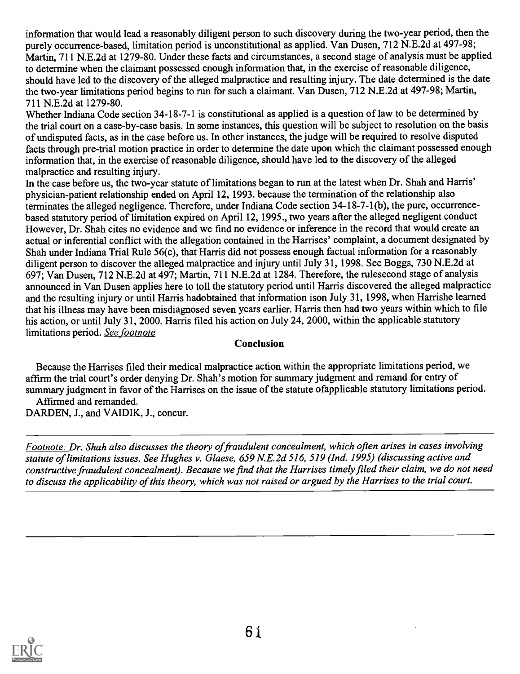information that would lead a reasonably diligent person to such discovery during the two-year period, then the purely occurrence-based, limitation period is unconstitutional as applied. Van Dusen, 712 N.E.2d at 497-98; Martin, 711 N.E.2d at 1279-80. Under these facts and circumstances, a second stage of analysis must be applied to determine when the claimant possessed enough information that, in the exercise of reasonable diligence, should have led to the discovery of the alleged malpractice and resulting injury. The date determined is the date the two-year limitations period begins to run for such a claimant. Van Dusen, 712 N.E.2d at 497-98; Martin, 711 N.E.2d at 1279-80.

Whether Indiana Code section 34-18-7-1 is constitutional as applied is a question of law to be determined by the trial court on a case-by-case basis. In some instances, this question will be subject to resolution on the basis of undisputed facts, as in the case before us. In other instances, the judge will be required to resolve disputed facts through pre-trial motion practice in order to determine the date upon which the claimant possessed enough information that, in the exercise of reasonable diligence, should have led to the discovery of the alleged malpractice and resulting injury.

In the case before us, the two-year statute of limitations began to run at the latest when Dr. Shah and Harris' physician-patient relationship ended on April 12, 1993. because the termination of the relationship also terminates the alleged negligence. Therefore, under Indiana Code section 34-18-7-1(b), the pure, occurrencebased statutory period of limitation expired on April 12, 1995., two years after the alleged negligent conduct However, Dr. Shah cites no evidence and we find no evidence or inference in the record that would create an actual or inferential conflict with the allegation contained in the Harrises' complaint, a document designated by Shah under Indiana Trial Rule 56(c), that Harris did not possess enough factual information for a reasonably diligent person to discover the alleged malpractice and injury until July 31, 1998. See Boggs, 730 N.E.2d at 697; Van Dusen, 712 N.E.2d at 497; Martin, 711 N.E.2d at 1284. Therefore, the rulesecond stage of analysis announced in Van Dusen applies here to toll the statutory period until Harris discovered the alleged malpractice and the resulting injury or until Harris hadobtained that information ison July 31, 1998, when Harrishe learned that his illness may have been misdiagnosed seven years earlier. Harris then had two years within which to file his action, or until July 31, 2000. Harris filed his action on July 24, 2000, within the applicable statutory limitations period. See footnote

# Conclusion

Because the Harrises filed their medical malpractice action within the appropriate limitations period, we affirm the trial court's order denying Dr. Shah's motion for summary judgment and remand for entry of summary judgment in favor of the Harrises on the issue of the statute ofapplicable statutory limitations period. Affirmed and remanded.

DARDEN, J., and VAIDIK, J., concur.

Footnote: Dr. Shah also discusses the theory of fraudulent concealment, which often arises in cases involving statute of limitations issues. See Hughes v. Glaese, 659 N.E.2d 516, 519 (Ind. 1995) (discussing active and constructive fraudulent concealment). Because we find that the Harrises timely filed their claim, we do not need to discuss the applicability of this theory, which was not raised or argued by the Harrises to the trial court.